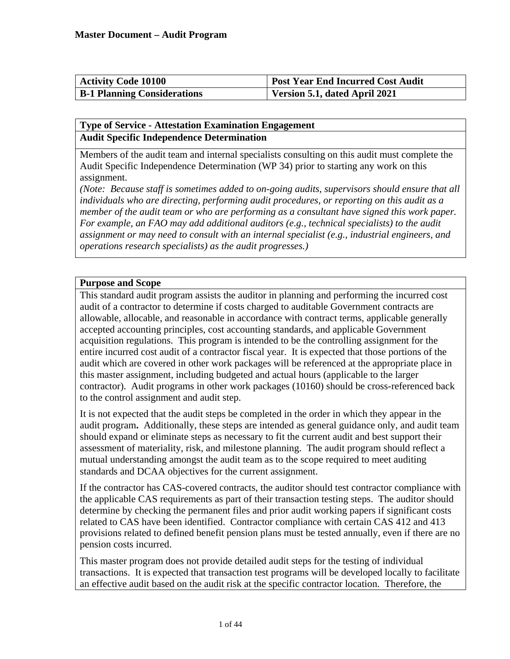| <b>Activity Code 10100</b>         | <b>Post Year End Incurred Cost Audit</b> |
|------------------------------------|------------------------------------------|
| <b>B-1 Planning Considerations</b> | Version 5.1, dated April 2021            |

## **Type of Service - Attestation Examination Engagement Audit Specific Independence Determination**

Members of the audit team and internal specialists consulting on this audit must complete the Audit Specific Independence Determination (WP 34) prior to starting any work on this assignment.

*(Note: Because staff is sometimes added to on-going audits, supervisors should ensure that all individuals who are directing, performing audit procedures, or reporting on this audit as a*  member of the audit team or who are performing as a consultant have signed this work paper. *For example, an FAO may add additional auditors (e.g., technical specialists) to the audit assignment or may need to consult with an internal specialist (e.g., industrial engineers, and operations research specialists) as the audit progresses.)*

## **Purpose and Scope**

This standard audit program assists the auditor in planning and performing the incurred cost audit of a contractor to determine if costs charged to auditable Government contracts are allowable, allocable, and reasonable in accordance with contract terms, applicable generally accepted accounting principles, cost accounting standards, and applicable Government acquisition regulations. This program is intended to be the controlling assignment for the entire incurred cost audit of a contractor fiscal year. It is expected that those portions of the audit which are covered in other work packages will be referenced at the appropriate place in this master assignment, including budgeted and actual hours (applicable to the larger contractor). Audit programs in other work packages (10160) should be cross-referenced back to the control assignment and audit step.

It is not expected that the audit steps be completed in the order in which they appear in the audit program**.** Additionally, these steps are intended as general guidance only, and audit team should expand or eliminate steps as necessary to fit the current audit and best support their assessment of materiality, risk, and milestone planning. The audit program should reflect a mutual understanding amongst the audit team as to the scope required to meet auditing standards and DCAA objectives for the current assignment.

If the contractor has CAS-covered contracts, the auditor should test contractor compliance with the applicable CAS requirements as part of their transaction testing steps. The auditor should determine by checking the permanent files and prior audit working papers if significant costs related to CAS have been identified. Contractor compliance with certain CAS 412 and 413 provisions related to defined benefit pension plans must be tested annually, even if there are no pension costs incurred.

This master program does not provide detailed audit steps for the testing of individual transactions. It is expected that transaction test programs will be developed locally to facilitate an effective audit based on the audit risk at the specific contractor location. Therefore, the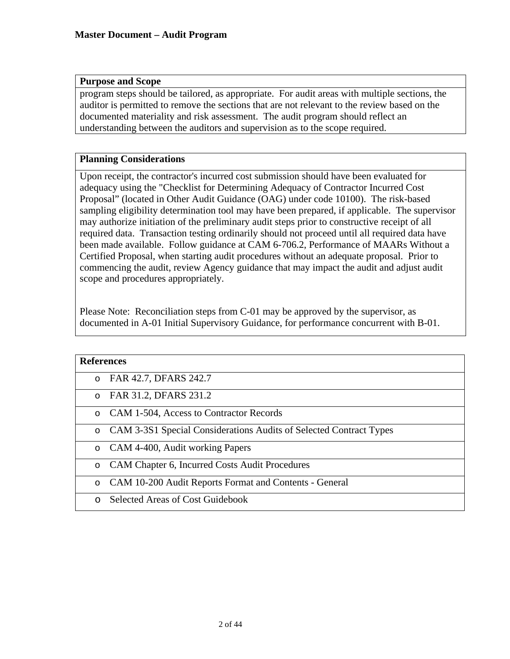## **Purpose and Scope**

program steps should be tailored, as appropriate. For audit areas with multiple sections, the auditor is permitted to remove the sections that are not relevant to the review based on the documented materiality and risk assessment. The audit program should reflect an understanding between the auditors and supervision as to the scope required.

## **Planning Considerations**

Upon receipt, the contractor's incurred cost submission should have been evaluated for adequacy using the "Checklist for Determining Adequacy of Contractor Incurred Cost Proposal" (located in Other Audit Guidance (OAG) under code 10100). The risk-based sampling eligibility determination tool may have been prepared, if applicable. The supervisor may authorize initiation of the preliminary audit steps prior to constructive receipt of all required data. Transaction testing ordinarily should not proceed until all required data have been made available. Follow guidance at CAM 6-706.2, Performance of MAARs Without a Certified Proposal, when starting audit procedures without an adequate proposal. Prior to commencing the audit, review Agency guidance that may impact the audit and adjust audit scope and procedures appropriately.

Please Note: Reconciliation steps from C-01 may be approved by the supervisor, as documented in A-01 Initial Supervisory Guidance, for performance concurrent with B-01.

| <b>References</b> |                                                                    |
|-------------------|--------------------------------------------------------------------|
| $\circ$           | FAR 42.7, DFARS 242.7                                              |
| $\circ$           | FAR 31.2, DFARS 231.2                                              |
|                   | o CAM 1-504, Access to Contractor Records                          |
| $\circ$           | CAM 3-3S1 Special Considerations Audits of Selected Contract Types |
| $\circ$           | CAM 4-400, Audit working Papers                                    |
| $\circ$           | CAM Chapter 6, Incurred Costs Audit Procedures                     |
| $\circ$           | CAM 10-200 Audit Reports Format and Contents - General             |
|                   | <b>Selected Areas of Cost Guidebook</b>                            |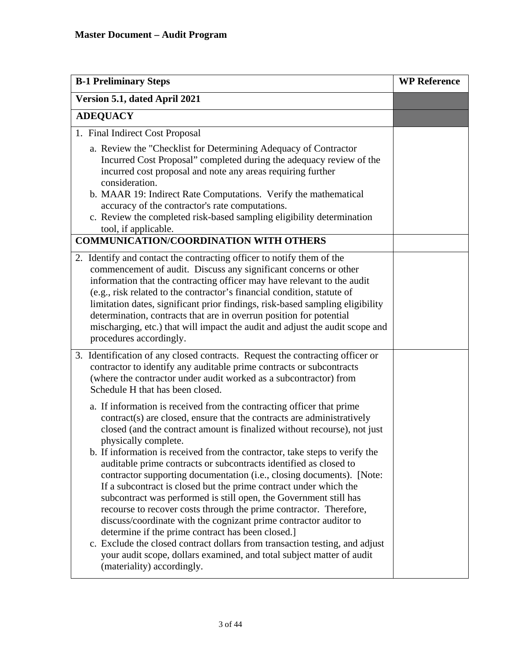| <b>B-1 Preliminary Steps</b>                                                                                                                                                                                                                                                                                                                                                                                                                                                                                                                                                                                                                                                                                                                                                                                                                                                                                                                                                                                     | <b>WP Reference</b> |
|------------------------------------------------------------------------------------------------------------------------------------------------------------------------------------------------------------------------------------------------------------------------------------------------------------------------------------------------------------------------------------------------------------------------------------------------------------------------------------------------------------------------------------------------------------------------------------------------------------------------------------------------------------------------------------------------------------------------------------------------------------------------------------------------------------------------------------------------------------------------------------------------------------------------------------------------------------------------------------------------------------------|---------------------|
| Version 5.1, dated April 2021                                                                                                                                                                                                                                                                                                                                                                                                                                                                                                                                                                                                                                                                                                                                                                                                                                                                                                                                                                                    |                     |
| <b>ADEQUACY</b>                                                                                                                                                                                                                                                                                                                                                                                                                                                                                                                                                                                                                                                                                                                                                                                                                                                                                                                                                                                                  |                     |
| 1. Final Indirect Cost Proposal                                                                                                                                                                                                                                                                                                                                                                                                                                                                                                                                                                                                                                                                                                                                                                                                                                                                                                                                                                                  |                     |
| a. Review the "Checklist for Determining Adequacy of Contractor<br>Incurred Cost Proposal" completed during the adequacy review of the<br>incurred cost proposal and note any areas requiring further<br>consideration.<br>b. MAAR 19: Indirect Rate Computations. Verify the mathematical                                                                                                                                                                                                                                                                                                                                                                                                                                                                                                                                                                                                                                                                                                                       |                     |
| accuracy of the contractor's rate computations.                                                                                                                                                                                                                                                                                                                                                                                                                                                                                                                                                                                                                                                                                                                                                                                                                                                                                                                                                                  |                     |
| c. Review the completed risk-based sampling eligibility determination<br>tool, if applicable.                                                                                                                                                                                                                                                                                                                                                                                                                                                                                                                                                                                                                                                                                                                                                                                                                                                                                                                    |                     |
| <b>COMMUNICATION/COORDINATION WITH OTHERS</b>                                                                                                                                                                                                                                                                                                                                                                                                                                                                                                                                                                                                                                                                                                                                                                                                                                                                                                                                                                    |                     |
| 2. Identify and contact the contracting officer to notify them of the<br>commencement of audit. Discuss any significant concerns or other<br>information that the contracting officer may have relevant to the audit<br>(e.g., risk related to the contractor's financial condition, statute of<br>limitation dates, significant prior findings, risk-based sampling eligibility<br>determination, contracts that are in overrun position for potential<br>mischarging, etc.) that will impact the audit and adjust the audit scope and<br>procedures accordingly.                                                                                                                                                                                                                                                                                                                                                                                                                                               |                     |
| 3. Identification of any closed contracts. Request the contracting officer or<br>contractor to identify any auditable prime contracts or subcontracts<br>(where the contractor under audit worked as a subcontractor) from<br>Schedule H that has been closed.                                                                                                                                                                                                                                                                                                                                                                                                                                                                                                                                                                                                                                                                                                                                                   |                     |
| a. If information is received from the contracting officer that prime<br>contract(s) are closed, ensure that the contracts are administratively<br>closed (and the contract amount is finalized without recourse), not just<br>physically complete.<br>b. If information is received from the contractor, take steps to verify the<br>auditable prime contracts or subcontracts identified as closed to<br>contractor supporting documentation (i.e., closing documents). [Note:<br>If a subcontract is closed but the prime contract under which the<br>subcontract was performed is still open, the Government still has<br>recourse to recover costs through the prime contractor. Therefore,<br>discuss/coordinate with the cognizant prime contractor auditor to<br>determine if the prime contract has been closed.]<br>c. Exclude the closed contract dollars from transaction testing, and adjust<br>your audit scope, dollars examined, and total subject matter of audit<br>(materiality) accordingly. |                     |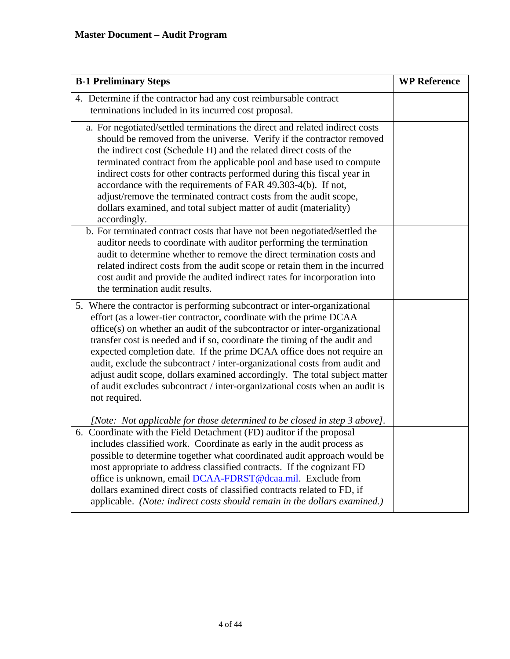| <b>B-1 Preliminary Steps</b>                                                                                                                                                                                                                                                                                                                                                                                                                                                                                                                                                                                                                     | <b>WP Reference</b> |
|--------------------------------------------------------------------------------------------------------------------------------------------------------------------------------------------------------------------------------------------------------------------------------------------------------------------------------------------------------------------------------------------------------------------------------------------------------------------------------------------------------------------------------------------------------------------------------------------------------------------------------------------------|---------------------|
| 4. Determine if the contractor had any cost reimbursable contract<br>terminations included in its incurred cost proposal.                                                                                                                                                                                                                                                                                                                                                                                                                                                                                                                        |                     |
| a. For negotiated/settled terminations the direct and related indirect costs<br>should be removed from the universe. Verify if the contractor removed<br>the indirect cost (Schedule H) and the related direct costs of the<br>terminated contract from the applicable pool and base used to compute<br>indirect costs for other contracts performed during this fiscal year in<br>accordance with the requirements of FAR 49.303-4(b). If not,<br>adjust/remove the terminated contract costs from the audit scope,<br>dollars examined, and total subject matter of audit (materiality)<br>accordingly.                                        |                     |
| b. For terminated contract costs that have not been negotiated/settled the<br>auditor needs to coordinate with auditor performing the termination<br>audit to determine whether to remove the direct termination costs and<br>related indirect costs from the audit scope or retain them in the incurred<br>cost audit and provide the audited indirect rates for incorporation into<br>the termination audit results.                                                                                                                                                                                                                           |                     |
| 5. Where the contractor is performing subcontract or inter-organizational<br>effort (as a lower-tier contractor, coordinate with the prime DCAA<br>office(s) on whether an audit of the subcontractor or inter-organizational<br>transfer cost is needed and if so, coordinate the timing of the audit and<br>expected completion date. If the prime DCAA office does not require an<br>audit, exclude the subcontract / inter-organizational costs from audit and<br>adjust audit scope, dollars examined accordingly. The total subject matter<br>of audit excludes subcontract / inter-organizational costs when an audit is<br>not required. |                     |
| [Note: Not applicable for those determined to be closed in step 3 above].<br>6. Coordinate with the Field Detachment (FD) auditor if the proposal<br>includes classified work. Coordinate as early in the audit process as<br>possible to determine together what coordinated audit approach would be<br>most appropriate to address classified contracts. If the cognizant FD<br>office is unknown, email <b>DCAA-FDRST@dcaa.mil</b> . Exclude from<br>dollars examined direct costs of classified contracts related to FD, if<br>applicable. (Note: indirect costs should remain in the dollars examined.)                                     |                     |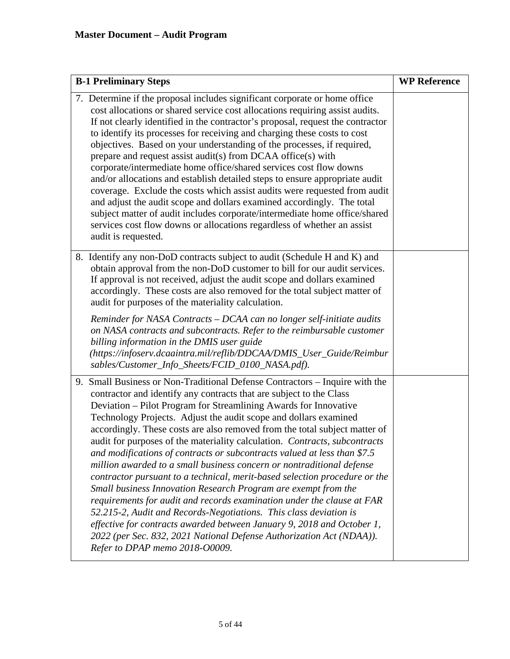| <b>B-1 Preliminary Steps</b>                                                                                                                                                                                                                                                                                                                                                                                                                                                                                                                                                                                                                                                                                                                                                                                                                                                                                                                                                                                                                                                                   | <b>WP Reference</b> |
|------------------------------------------------------------------------------------------------------------------------------------------------------------------------------------------------------------------------------------------------------------------------------------------------------------------------------------------------------------------------------------------------------------------------------------------------------------------------------------------------------------------------------------------------------------------------------------------------------------------------------------------------------------------------------------------------------------------------------------------------------------------------------------------------------------------------------------------------------------------------------------------------------------------------------------------------------------------------------------------------------------------------------------------------------------------------------------------------|---------------------|
| 7. Determine if the proposal includes significant corporate or home office<br>cost allocations or shared service cost allocations requiring assist audits.<br>If not clearly identified in the contractor's proposal, request the contractor<br>to identify its processes for receiving and charging these costs to cost<br>objectives. Based on your understanding of the processes, if required,<br>prepare and request assist audit(s) from DCAA office(s) with<br>corporate/intermediate home office/shared services cost flow downs<br>and/or allocations and establish detailed steps to ensure appropriate audit<br>coverage. Exclude the costs which assist audits were requested from audit<br>and adjust the audit scope and dollars examined accordingly. The total<br>subject matter of audit includes corporate/intermediate home office/shared<br>services cost flow downs or allocations regardless of whether an assist<br>audit is requested.                                                                                                                                 |                     |
| 8. Identify any non-DoD contracts subject to audit (Schedule H and K) and<br>obtain approval from the non-DoD customer to bill for our audit services.<br>If approval is not received, adjust the audit scope and dollars examined<br>accordingly. These costs are also removed for the total subject matter of<br>audit for purposes of the materiality calculation.                                                                                                                                                                                                                                                                                                                                                                                                                                                                                                                                                                                                                                                                                                                          |                     |
| Reminder for NASA Contracts - DCAA can no longer self-initiate audits<br>on NASA contracts and subcontracts. Refer to the reimbursable customer<br>billing information in the DMIS user guide<br>(https://infoserv.dcaaintra.mil/reflib/DDCAA/DMIS_User_Guide/Reimbur<br>sables/Customer_Info_Sheets/FCID_0100_NASA.pdf).                                                                                                                                                                                                                                                                                                                                                                                                                                                                                                                                                                                                                                                                                                                                                                      |                     |
| 9. Small Business or Non-Traditional Defense Contractors – Inquire with the<br>contractor and identify any contracts that are subject to the Class<br>Deviation - Pilot Program for Streamlining Awards for Innovative<br>Technology Projects. Adjust the audit scope and dollars examined<br>accordingly. These costs are also removed from the total subject matter of<br>audit for purposes of the materiality calculation. Contracts, subcontracts<br>and modifications of contracts or subcontracts valued at less than \$7.5<br>million awarded to a small business concern or nontraditional defense<br>contractor pursuant to a technical, merit-based selection procedure or the<br>Small business Innovation Research Program are exempt from the<br>requirements for audit and records examination under the clause at FAR<br>52.215-2, Audit and Records-Negotiations. This class deviation is<br>effective for contracts awarded between January 9, 2018 and October 1,<br>2022 (per Sec. 832, 2021 National Defense Authorization Act (NDAA)).<br>Refer to DPAP memo 2018-00009. |                     |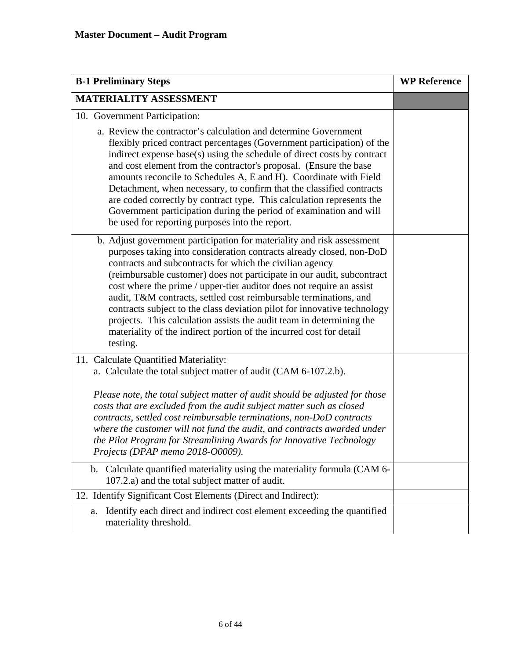| <b>B-1 Preliminary Steps</b>                                                                                                                                                                                                                                                                                                                                                                                                                                                                                                                                                                                                                                             | <b>WP Reference</b> |
|--------------------------------------------------------------------------------------------------------------------------------------------------------------------------------------------------------------------------------------------------------------------------------------------------------------------------------------------------------------------------------------------------------------------------------------------------------------------------------------------------------------------------------------------------------------------------------------------------------------------------------------------------------------------------|---------------------|
| <b>MATERIALITY ASSESSMENT</b>                                                                                                                                                                                                                                                                                                                                                                                                                                                                                                                                                                                                                                            |                     |
| 10. Government Participation:                                                                                                                                                                                                                                                                                                                                                                                                                                                                                                                                                                                                                                            |                     |
| a. Review the contractor's calculation and determine Government<br>flexibly priced contract percentages (Government participation) of the<br>indirect expense base(s) using the schedule of direct costs by contract<br>and cost element from the contractor's proposal. (Ensure the base<br>amounts reconcile to Schedules A, E and H). Coordinate with Field<br>Detachment, when necessary, to confirm that the classified contracts<br>are coded correctly by contract type. This calculation represents the<br>Government participation during the period of examination and will<br>be used for reporting purposes into the report.                                 |                     |
| b. Adjust government participation for materiality and risk assessment<br>purposes taking into consideration contracts already closed, non-DoD<br>contracts and subcontracts for which the civilian agency<br>(reimbursable customer) does not participate in our audit, subcontract<br>cost where the prime / upper-tier auditor does not require an assist<br>audit, T&M contracts, settled cost reimbursable terminations, and<br>contracts subject to the class deviation pilot for innovative technology<br>projects. This calculation assists the audit team in determining the<br>materiality of the indirect portion of the incurred cost for detail<br>testing. |                     |
| 11. Calculate Quantified Materiality:<br>a. Calculate the total subject matter of audit (CAM 6-107.2.b).                                                                                                                                                                                                                                                                                                                                                                                                                                                                                                                                                                 |                     |
| Please note, the total subject matter of audit should be adjusted for those<br>costs that are excluded from the audit subject matter such as closed<br>contracts, settled cost reimbursable terminations, non-DoD contracts<br>where the customer will not fund the audit, and contracts awarded under<br>the Pilot Program for Streamlining Awards for Innovative Technology<br>Projects (DPAP memo 2018-00009).                                                                                                                                                                                                                                                        |                     |
| b. Calculate quantified materiality using the materiality formula (CAM 6-<br>107.2.a) and the total subject matter of audit.                                                                                                                                                                                                                                                                                                                                                                                                                                                                                                                                             |                     |
| 12. Identify Significant Cost Elements (Direct and Indirect):                                                                                                                                                                                                                                                                                                                                                                                                                                                                                                                                                                                                            |                     |
| Identify each direct and indirect cost element exceeding the quantified<br>a.<br>materiality threshold.                                                                                                                                                                                                                                                                                                                                                                                                                                                                                                                                                                  |                     |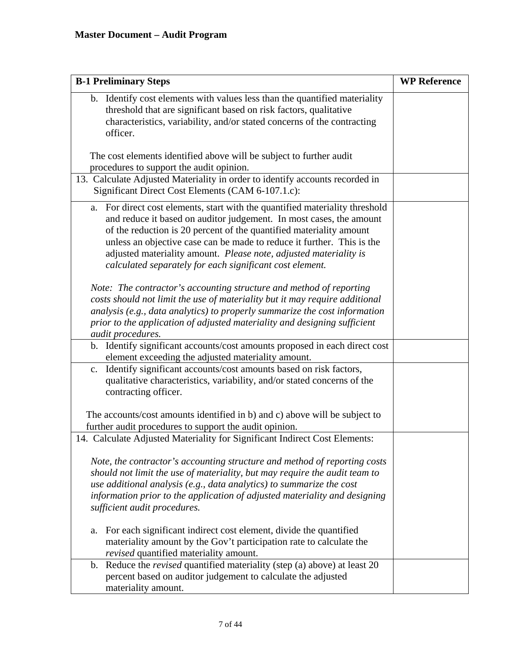| <b>B-1 Preliminary Steps</b>                                                                                                                                                                                                                                                                                                                                                                                                             | <b>WP Reference</b> |
|------------------------------------------------------------------------------------------------------------------------------------------------------------------------------------------------------------------------------------------------------------------------------------------------------------------------------------------------------------------------------------------------------------------------------------------|---------------------|
| b. Identify cost elements with values less than the quantified materiality<br>threshold that are significant based on risk factors, qualitative<br>characteristics, variability, and/or stated concerns of the contracting<br>officer.                                                                                                                                                                                                   |                     |
| The cost elements identified above will be subject to further audit<br>procedures to support the audit opinion.                                                                                                                                                                                                                                                                                                                          |                     |
| 13. Calculate Adjusted Materiality in order to identify accounts recorded in<br>Significant Direct Cost Elements (CAM 6-107.1.c):                                                                                                                                                                                                                                                                                                        |                     |
| For direct cost elements, start with the quantified materiality threshold<br>a.<br>and reduce it based on auditor judgement. In most cases, the amount<br>of the reduction is 20 percent of the quantified materiality amount<br>unless an objective case can be made to reduce it further. This is the<br>adjusted materiality amount. Please note, adjusted materiality is<br>calculated separately for each significant cost element. |                     |
| Note: The contractor's accounting structure and method of reporting<br>costs should not limit the use of materiality but it may require additional<br>analysis (e.g., data analytics) to properly summarize the cost information<br>prior to the application of adjusted materiality and designing sufficient<br>audit procedures.                                                                                                       |                     |
| b. Identify significant accounts/cost amounts proposed in each direct cost<br>element exceeding the adjusted materiality amount.                                                                                                                                                                                                                                                                                                         |                     |
| Identify significant accounts/cost amounts based on risk factors,<br>c.<br>qualitative characteristics, variability, and/or stated concerns of the<br>contracting officer.                                                                                                                                                                                                                                                               |                     |
| The accounts/cost amounts identified in b) and c) above will be subject to<br>further audit procedures to support the audit opinion.                                                                                                                                                                                                                                                                                                     |                     |
| 14. Calculate Adjusted Materiality for Significant Indirect Cost Elements:                                                                                                                                                                                                                                                                                                                                                               |                     |
| Note, the contractor's accounting structure and method of reporting costs<br>should not limit the use of materiality, but may require the audit team to<br>use additional analysis (e.g., data analytics) to summarize the cost<br>information prior to the application of adjusted materiality and designing<br>sufficient audit procedures.                                                                                            |                     |
| For each significant indirect cost element, divide the quantified<br>a.<br>materiality amount by the Gov't participation rate to calculate the<br>revised quantified materiality amount.                                                                                                                                                                                                                                                 |                     |
| b. Reduce the <i>revised</i> quantified materiality (step (a) above) at least 20<br>percent based on auditor judgement to calculate the adjusted<br>materiality amount.                                                                                                                                                                                                                                                                  |                     |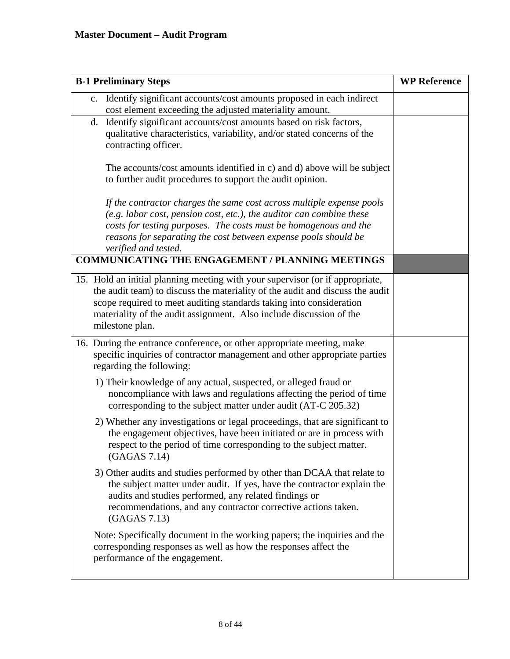| <b>B-1 Preliminary Steps</b>                                                                                                                                                                                                                                                                                                    | <b>WP Reference</b> |
|---------------------------------------------------------------------------------------------------------------------------------------------------------------------------------------------------------------------------------------------------------------------------------------------------------------------------------|---------------------|
| Identify significant accounts/cost amounts proposed in each indirect<br>$\mathbf{c}$ .<br>cost element exceeding the adjusted materiality amount.                                                                                                                                                                               |                     |
| Identify significant accounts/cost amounts based on risk factors,<br>d.<br>qualitative characteristics, variability, and/or stated concerns of the<br>contracting officer.                                                                                                                                                      |                     |
| The accounts/cost amounts identified in c) and d) above will be subject<br>to further audit procedures to support the audit opinion.                                                                                                                                                                                            |                     |
| If the contractor charges the same cost across multiple expense pools<br>$(e.g.$ labor cost, pension cost, etc.), the auditor can combine these<br>costs for testing purposes. The costs must be homogenous and the<br>reasons for separating the cost between expense pools should be<br>verified and tested.                  |                     |
| <b>COMMUNICATING THE ENGAGEMENT / PLANNING MEETINGS</b>                                                                                                                                                                                                                                                                         |                     |
| 15. Hold an initial planning meeting with your supervisor (or if appropriate,<br>the audit team) to discuss the materiality of the audit and discuss the audit<br>scope required to meet auditing standards taking into consideration<br>materiality of the audit assignment. Also include discussion of the<br>milestone plan. |                     |
| 16. During the entrance conference, or other appropriate meeting, make<br>specific inquiries of contractor management and other appropriate parties<br>regarding the following:                                                                                                                                                 |                     |
| 1) Their knowledge of any actual, suspected, or alleged fraud or<br>noncompliance with laws and regulations affecting the period of time<br>corresponding to the subject matter under audit (AT-C 205.32)                                                                                                                       |                     |
| 2) Whether any investigations or legal proceedings, that are significant to<br>the engagement objectives, have been initiated or are in process with<br>respect to the period of time corresponding to the subject matter.<br>(GAGAS 7.14)                                                                                      |                     |
| 3) Other audits and studies performed by other than DCAA that relate to<br>the subject matter under audit. If yes, have the contractor explain the<br>audits and studies performed, any related findings or<br>recommendations, and any contractor corrective actions taken.<br>(GAGAS 7.13)                                    |                     |
| Note: Specifically document in the working papers; the inquiries and the<br>corresponding responses as well as how the responses affect the<br>performance of the engagement.                                                                                                                                                   |                     |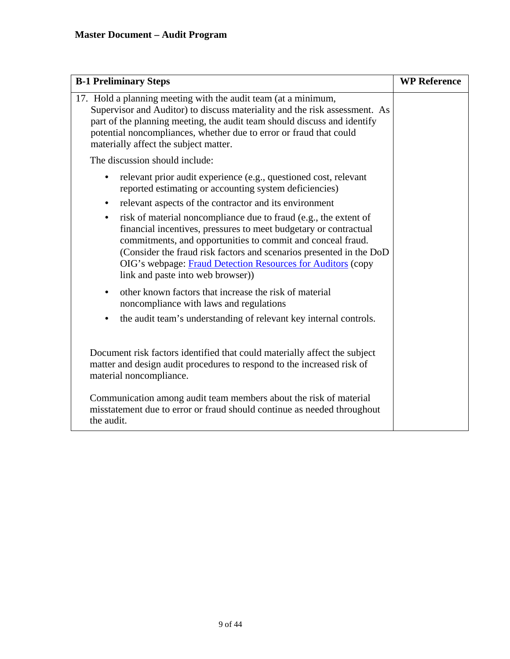| <b>B-1 Preliminary Steps</b>                                                                                                                                                                                                                                                                                                                                                                | <b>WP Reference</b> |
|---------------------------------------------------------------------------------------------------------------------------------------------------------------------------------------------------------------------------------------------------------------------------------------------------------------------------------------------------------------------------------------------|---------------------|
| 17. Hold a planning meeting with the audit team (at a minimum,<br>Supervisor and Auditor) to discuss materiality and the risk assessment. As<br>part of the planning meeting, the audit team should discuss and identify<br>potential noncompliances, whether due to error or fraud that could<br>materially affect the subject matter.                                                     |                     |
| The discussion should include:                                                                                                                                                                                                                                                                                                                                                              |                     |
| relevant prior audit experience (e.g., questioned cost, relevant<br>reported estimating or accounting system deficiencies)                                                                                                                                                                                                                                                                  |                     |
| relevant aspects of the contractor and its environment<br>$\bullet$                                                                                                                                                                                                                                                                                                                         |                     |
| risk of material noncompliance due to fraud (e.g., the extent of<br>$\bullet$<br>financial incentives, pressures to meet budgetary or contractual<br>commitments, and opportunities to commit and conceal fraud.<br>(Consider the fraud risk factors and scenarios presented in the DoD<br>OIG's webpage: Fraud Detection Resources for Auditors (copy<br>link and paste into web browser)) |                     |
| other known factors that increase the risk of material<br>$\bullet$<br>noncompliance with laws and regulations                                                                                                                                                                                                                                                                              |                     |
| the audit team's understanding of relevant key internal controls.                                                                                                                                                                                                                                                                                                                           |                     |
| Document risk factors identified that could materially affect the subject<br>matter and design audit procedures to respond to the increased risk of<br>material noncompliance.                                                                                                                                                                                                              |                     |
| Communication among audit team members about the risk of material<br>misstatement due to error or fraud should continue as needed throughout<br>the audit.                                                                                                                                                                                                                                  |                     |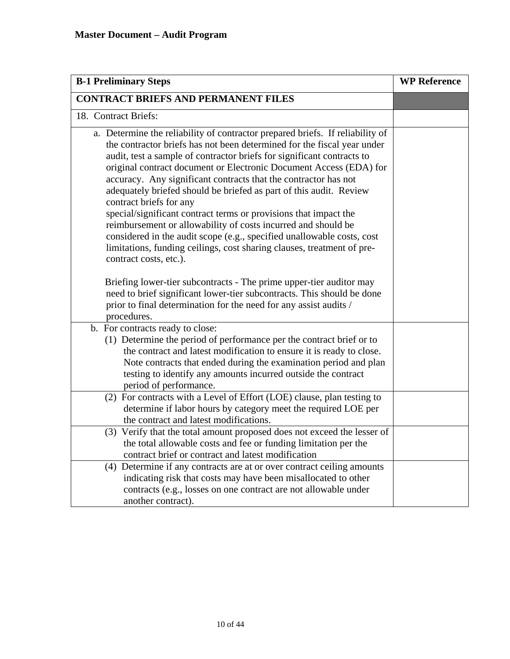| <b>B-1 Preliminary Steps</b>                                                                                                                                                                                                                                                                                                                                                                                                                                                                                                                                                                                                                                                                                                                                                                                                                                                                                                                                                                                          | <b>WP Reference</b> |
|-----------------------------------------------------------------------------------------------------------------------------------------------------------------------------------------------------------------------------------------------------------------------------------------------------------------------------------------------------------------------------------------------------------------------------------------------------------------------------------------------------------------------------------------------------------------------------------------------------------------------------------------------------------------------------------------------------------------------------------------------------------------------------------------------------------------------------------------------------------------------------------------------------------------------------------------------------------------------------------------------------------------------|---------------------|
| <b>CONTRACT BRIEFS AND PERMANENT FILES</b>                                                                                                                                                                                                                                                                                                                                                                                                                                                                                                                                                                                                                                                                                                                                                                                                                                                                                                                                                                            |                     |
| 18. Contract Briefs:                                                                                                                                                                                                                                                                                                                                                                                                                                                                                                                                                                                                                                                                                                                                                                                                                                                                                                                                                                                                  |                     |
| a. Determine the reliability of contractor prepared briefs. If reliability of<br>the contractor briefs has not been determined for the fiscal year under<br>audit, test a sample of contractor briefs for significant contracts to<br>original contract document or Electronic Document Access (EDA) for<br>accuracy. Any significant contracts that the contractor has not<br>adequately briefed should be briefed as part of this audit. Review<br>contract briefs for any<br>special/significant contract terms or provisions that impact the<br>reimbursement or allowability of costs incurred and should be<br>considered in the audit scope (e.g., specified unallowable costs, cost<br>limitations, funding ceilings, cost sharing clauses, treatment of pre-<br>contract costs, etc.).<br>Briefing lower-tier subcontracts - The prime upper-tier auditor may<br>need to brief significant lower-tier subcontracts. This should be done<br>prior to final determination for the need for any assist audits / |                     |
| procedures.                                                                                                                                                                                                                                                                                                                                                                                                                                                                                                                                                                                                                                                                                                                                                                                                                                                                                                                                                                                                           |                     |
| b. For contracts ready to close:<br>(1) Determine the period of performance per the contract brief or to<br>the contract and latest modification to ensure it is ready to close.<br>Note contracts that ended during the examination period and plan<br>testing to identify any amounts incurred outside the contract<br>period of performance.                                                                                                                                                                                                                                                                                                                                                                                                                                                                                                                                                                                                                                                                       |                     |
| (2) For contracts with a Level of Effort (LOE) clause, plan testing to<br>determine if labor hours by category meet the required LOE per<br>the contract and latest modifications.                                                                                                                                                                                                                                                                                                                                                                                                                                                                                                                                                                                                                                                                                                                                                                                                                                    |                     |
| (3) Verify that the total amount proposed does not exceed the lesser of<br>the total allowable costs and fee or funding limitation per the<br>contract brief or contract and latest modification                                                                                                                                                                                                                                                                                                                                                                                                                                                                                                                                                                                                                                                                                                                                                                                                                      |                     |
| (4) Determine if any contracts are at or over contract ceiling amounts<br>indicating risk that costs may have been misallocated to other<br>contracts (e.g., losses on one contract are not allowable under<br>another contract).                                                                                                                                                                                                                                                                                                                                                                                                                                                                                                                                                                                                                                                                                                                                                                                     |                     |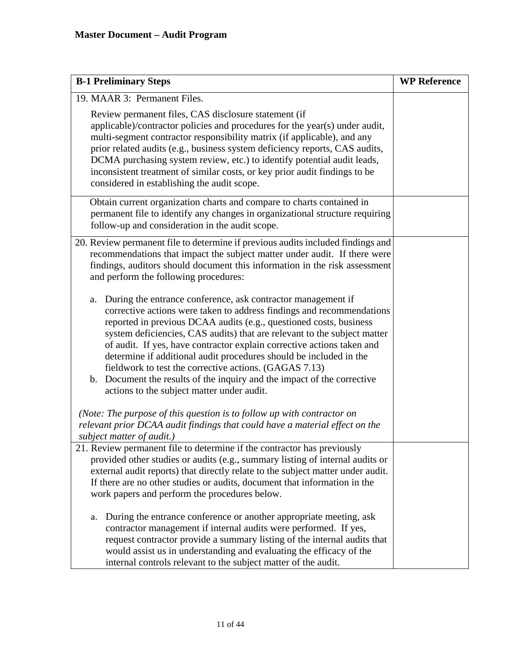| <b>B-1 Preliminary Steps</b>                                                                                                                                                                                                                                                                                                                                                                                                                                                                                                                                                                                                     | <b>WP Reference</b> |
|----------------------------------------------------------------------------------------------------------------------------------------------------------------------------------------------------------------------------------------------------------------------------------------------------------------------------------------------------------------------------------------------------------------------------------------------------------------------------------------------------------------------------------------------------------------------------------------------------------------------------------|---------------------|
| 19. MAAR 3: Permanent Files.                                                                                                                                                                                                                                                                                                                                                                                                                                                                                                                                                                                                     |                     |
| Review permanent files, CAS disclosure statement (if<br>applicable)/contractor policies and procedures for the year(s) under audit,<br>multi-segment contractor responsibility matrix (if applicable), and any<br>prior related audits (e.g., business system deficiency reports, CAS audits,<br>DCMA purchasing system review, etc.) to identify potential audit leads,<br>inconsistent treatment of similar costs, or key prior audit findings to be<br>considered in establishing the audit scope.                                                                                                                            |                     |
| Obtain current organization charts and compare to charts contained in<br>permanent file to identify any changes in organizational structure requiring<br>follow-up and consideration in the audit scope.                                                                                                                                                                                                                                                                                                                                                                                                                         |                     |
| 20. Review permanent file to determine if previous audits included findings and<br>recommendations that impact the subject matter under audit. If there were<br>findings, auditors should document this information in the risk assessment<br>and perform the following procedures:                                                                                                                                                                                                                                                                                                                                              |                     |
| During the entrance conference, ask contractor management if<br>a.<br>corrective actions were taken to address findings and recommendations<br>reported in previous DCAA audits (e.g., questioned costs, business<br>system deficiencies, CAS audits) that are relevant to the subject matter<br>of audit. If yes, have contractor explain corrective actions taken and<br>determine if additional audit procedures should be included in the<br>fieldwork to test the corrective actions. (GAGAS 7.13)<br>b. Document the results of the inquiry and the impact of the corrective<br>actions to the subject matter under audit. |                     |
| (Note: The purpose of this question is to follow up with contractor on<br>relevant prior DCAA audit findings that could have a material effect on the<br>subject matter of audit.)                                                                                                                                                                                                                                                                                                                                                                                                                                               |                     |
| 21. Review permanent file to determine if the contractor has previously<br>provided other studies or audits (e.g., summary listing of internal audits or<br>external audit reports) that directly relate to the subject matter under audit.<br>If there are no other studies or audits, document that information in the<br>work papers and perform the procedures below.                                                                                                                                                                                                                                                        |                     |
| During the entrance conference or another appropriate meeting, ask<br>a.<br>contractor management if internal audits were performed. If yes,<br>request contractor provide a summary listing of the internal audits that<br>would assist us in understanding and evaluating the efficacy of the<br>internal controls relevant to the subject matter of the audit.                                                                                                                                                                                                                                                                |                     |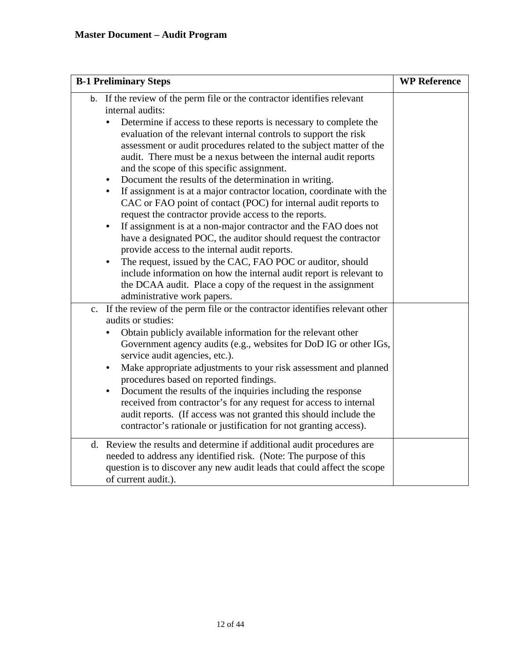| <b>B-1 Preliminary Steps</b>                                                                                                                                                                                                                                                                                                                                                                                                                                                                                                                                                                                                                                                                                                                                                                                                                                                                                                                                                                                                                                                                                                             | <b>WP Reference</b> |
|------------------------------------------------------------------------------------------------------------------------------------------------------------------------------------------------------------------------------------------------------------------------------------------------------------------------------------------------------------------------------------------------------------------------------------------------------------------------------------------------------------------------------------------------------------------------------------------------------------------------------------------------------------------------------------------------------------------------------------------------------------------------------------------------------------------------------------------------------------------------------------------------------------------------------------------------------------------------------------------------------------------------------------------------------------------------------------------------------------------------------------------|---------------------|
| b. If the review of the perm file or the contractor identifies relevant<br>internal audits:<br>Determine if access to these reports is necessary to complete the<br>evaluation of the relevant internal controls to support the risk<br>assessment or audit procedures related to the subject matter of the<br>audit. There must be a nexus between the internal audit reports<br>and the scope of this specific assignment.<br>Document the results of the determination in writing.<br>٠<br>If assignment is at a major contractor location, coordinate with the<br>CAC or FAO point of contact (POC) for internal audit reports to<br>request the contractor provide access to the reports.<br>If assignment is at a non-major contractor and the FAO does not<br>have a designated POC, the auditor should request the contractor<br>provide access to the internal audit reports.<br>The request, issued by the CAC, FAO POC or auditor, should<br>$\bullet$<br>include information on how the internal audit report is relevant to<br>the DCAA audit. Place a copy of the request in the assignment<br>administrative work papers. |                     |
| If the review of the perm file or the contractor identifies relevant other<br>$\mathbf{c}$ .<br>audits or studies:<br>Obtain publicly available information for the relevant other<br>Government agency audits (e.g., websites for DoD IG or other IGs,<br>service audit agencies, etc.).<br>Make appropriate adjustments to your risk assessment and planned<br>procedures based on reported findings.<br>Document the results of the inquiries including the response<br>٠<br>received from contractor's for any request for access to internal<br>audit reports. (If access was not granted this should include the<br>contractor's rationale or justification for not granting access).                                                                                                                                                                                                                                                                                                                                                                                                                                              |                     |
| Review the results and determine if additional audit procedures are<br>d.<br>needed to address any identified risk. (Note: The purpose of this<br>question is to discover any new audit leads that could affect the scope<br>of current audit.).                                                                                                                                                                                                                                                                                                                                                                                                                                                                                                                                                                                                                                                                                                                                                                                                                                                                                         |                     |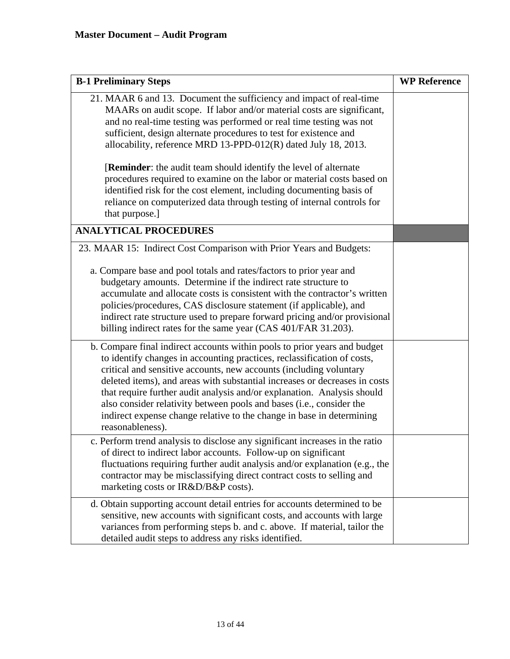| <b>B-1 Preliminary Steps</b>                                                                                                                                                                                                                                                                                                                                                                                                                                                                                                                             | <b>WP Reference</b> |
|----------------------------------------------------------------------------------------------------------------------------------------------------------------------------------------------------------------------------------------------------------------------------------------------------------------------------------------------------------------------------------------------------------------------------------------------------------------------------------------------------------------------------------------------------------|---------------------|
| 21. MAAR 6 and 13. Document the sufficiency and impact of real-time<br>MAARs on audit scope. If labor and/or material costs are significant,<br>and no real-time testing was performed or real time testing was not<br>sufficient, design alternate procedures to test for existence and<br>allocability, reference MRD 13-PPD-012(R) dated July 18, 2013.                                                                                                                                                                                               |                     |
| [Reminder: the audit team should identify the level of alternate<br>procedures required to examine on the labor or material costs based on<br>identified risk for the cost element, including documenting basis of<br>reliance on computerized data through testing of internal controls for<br>that purpose.]                                                                                                                                                                                                                                           |                     |
| <b>ANALYTICAL PROCEDURES</b>                                                                                                                                                                                                                                                                                                                                                                                                                                                                                                                             |                     |
| 23. MAAR 15: Indirect Cost Comparison with Prior Years and Budgets:<br>a. Compare base and pool totals and rates/factors to prior year and<br>budgetary amounts. Determine if the indirect rate structure to<br>accumulate and allocate costs is consistent with the contractor's written<br>policies/procedures, CAS disclosure statement (if applicable), and<br>indirect rate structure used to prepare forward pricing and/or provisional<br>billing indirect rates for the same year (CAS 401/FAR 31.203).                                          |                     |
| b. Compare final indirect accounts within pools to prior years and budget<br>to identify changes in accounting practices, reclassification of costs,<br>critical and sensitive accounts, new accounts (including voluntary<br>deleted items), and areas with substantial increases or decreases in costs<br>that require further audit analysis and/or explanation. Analysis should<br>also consider relativity between pools and bases (i.e., consider the<br>indirect expense change relative to the change in base in determining<br>reasonableness). |                     |
| c. Perform trend analysis to disclose any significant increases in the ratio<br>of direct to indirect labor accounts. Follow-up on significant<br>fluctuations requiring further audit analysis and/or explanation (e.g., the<br>contractor may be misclassifying direct contract costs to selling and<br>marketing costs or IR&D/B&P costs).                                                                                                                                                                                                            |                     |
| d. Obtain supporting account detail entries for accounts determined to be<br>sensitive, new accounts with significant costs, and accounts with large<br>variances from performing steps b. and c. above. If material, tailor the<br>detailed audit steps to address any risks identified.                                                                                                                                                                                                                                                                |                     |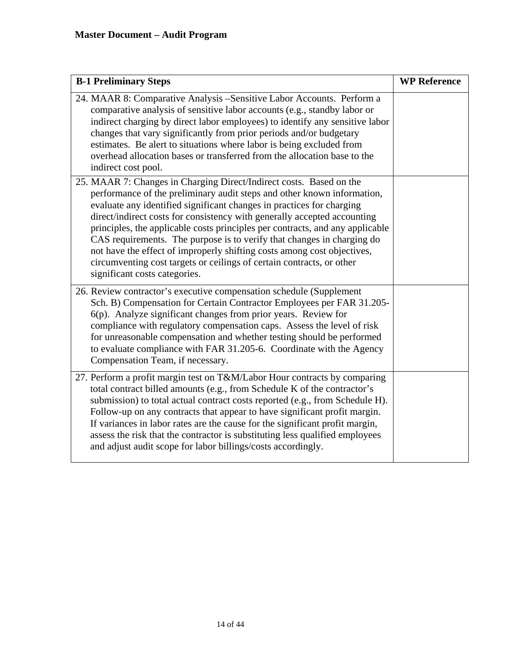| <b>B-1 Preliminary Steps</b>                                                                                                                                                                                                                                                                                                                                                                                                                                                                                                                                                                                                                        | <b>WP Reference</b> |
|-----------------------------------------------------------------------------------------------------------------------------------------------------------------------------------------------------------------------------------------------------------------------------------------------------------------------------------------------------------------------------------------------------------------------------------------------------------------------------------------------------------------------------------------------------------------------------------------------------------------------------------------------------|---------------------|
| 24. MAAR 8: Comparative Analysis - Sensitive Labor Accounts. Perform a<br>comparative analysis of sensitive labor accounts (e.g., standby labor or<br>indirect charging by direct labor employees) to identify any sensitive labor<br>changes that vary significantly from prior periods and/or budgetary<br>estimates. Be alert to situations where labor is being excluded from<br>overhead allocation bases or transferred from the allocation base to the<br>indirect cost pool.                                                                                                                                                                |                     |
| 25. MAAR 7: Changes in Charging Direct/Indirect costs. Based on the<br>performance of the preliminary audit steps and other known information,<br>evaluate any identified significant changes in practices for charging<br>direct/indirect costs for consistency with generally accepted accounting<br>principles, the applicable costs principles per contracts, and any applicable<br>CAS requirements. The purpose is to verify that changes in charging do<br>not have the effect of improperly shifting costs among cost objectives,<br>circumventing cost targets or ceilings of certain contracts, or other<br>significant costs categories. |                     |
| 26. Review contractor's executive compensation schedule (Supplement<br>Sch. B) Compensation for Certain Contractor Employees per FAR 31.205-<br>6(p). Analyze significant changes from prior years. Review for<br>compliance with regulatory compensation caps. Assess the level of risk<br>for unreasonable compensation and whether testing should be performed<br>to evaluate compliance with FAR 31.205-6. Coordinate with the Agency<br>Compensation Team, if necessary.                                                                                                                                                                       |                     |
| 27. Perform a profit margin test on T&M/Labor Hour contracts by comparing<br>total contract billed amounts (e.g., from Schedule K of the contractor's<br>submission) to total actual contract costs reported (e.g., from Schedule H).<br>Follow-up on any contracts that appear to have significant profit margin.<br>If variances in labor rates are the cause for the significant profit margin,<br>assess the risk that the contractor is substituting less qualified employees<br>and adjust audit scope for labor billings/costs accordingly.                                                                                                  |                     |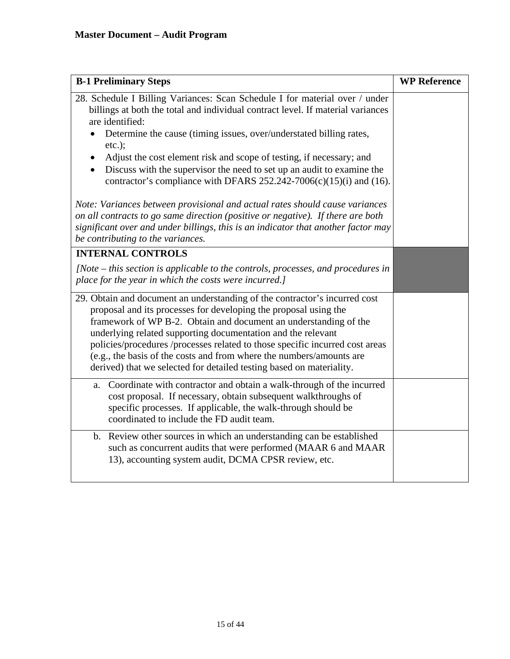| <b>B-1 Preliminary Steps</b>                                                                                                                                                                                                                                                                                                                                                                                                                                                                                       | <b>WP Reference</b> |
|--------------------------------------------------------------------------------------------------------------------------------------------------------------------------------------------------------------------------------------------------------------------------------------------------------------------------------------------------------------------------------------------------------------------------------------------------------------------------------------------------------------------|---------------------|
| 28. Schedule I Billing Variances: Scan Schedule I for material over / under<br>billings at both the total and individual contract level. If material variances<br>are identified:                                                                                                                                                                                                                                                                                                                                  |                     |
| Determine the cause (timing issues, over/understated billing rates,<br>$etc.$ );                                                                                                                                                                                                                                                                                                                                                                                                                                   |                     |
| Adjust the cost element risk and scope of testing, if necessary; and<br>$\bullet$<br>Discuss with the supervisor the need to set up an audit to examine the<br>contractor's compliance with DFARS $252.242-7006(c)(15)(i)$ and (16).                                                                                                                                                                                                                                                                               |                     |
| Note: Variances between provisional and actual rates should cause variances<br>on all contracts to go same direction (positive or negative). If there are both<br>significant over and under billings, this is an indicator that another factor may<br>be contributing to the variances.                                                                                                                                                                                                                           |                     |
| <b>INTERNAL CONTROLS</b>                                                                                                                                                                                                                                                                                                                                                                                                                                                                                           |                     |
| $[Note - this section is applicable to the controls, processes, and procedures in]$<br>place for the year in which the costs were incurred.]                                                                                                                                                                                                                                                                                                                                                                       |                     |
| 29. Obtain and document an understanding of the contractor's incurred cost<br>proposal and its processes for developing the proposal using the<br>framework of WP B-2. Obtain and document an understanding of the<br>underlying related supporting documentation and the relevant<br>policies/procedures /processes related to those specific incurred cost areas<br>(e.g., the basis of the costs and from where the numbers/amounts are<br>derived) that we selected for detailed testing based on materiality. |                     |
| Coordinate with contractor and obtain a walk-through of the incurred<br>a.<br>cost proposal. If necessary, obtain subsequent walkthroughs of<br>specific processes. If applicable, the walk-through should be<br>coordinated to include the FD audit team.                                                                                                                                                                                                                                                         |                     |
| b. Review other sources in which an understanding can be established<br>such as concurrent audits that were performed (MAAR 6 and MAAR<br>13), accounting system audit, DCMA CPSR review, etc.                                                                                                                                                                                                                                                                                                                     |                     |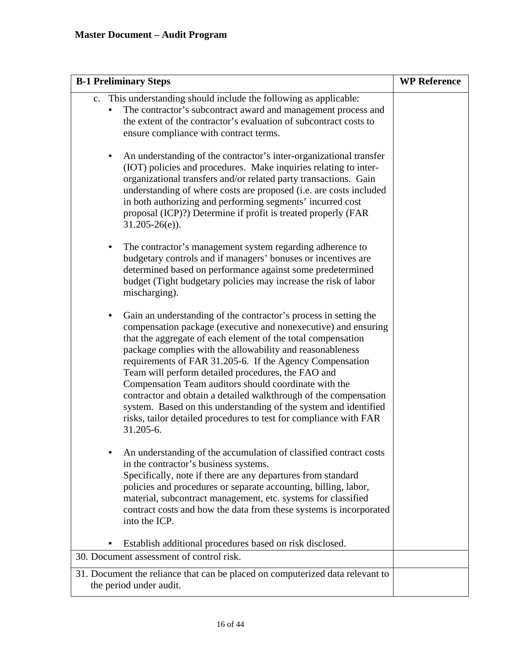| <b>B-1 Preliminary Steps</b>                                                                                                                                                                                                                                                                                                                                                                                                                                                                                                                                                                                                                                         | <b>WP Reference</b> |
|----------------------------------------------------------------------------------------------------------------------------------------------------------------------------------------------------------------------------------------------------------------------------------------------------------------------------------------------------------------------------------------------------------------------------------------------------------------------------------------------------------------------------------------------------------------------------------------------------------------------------------------------------------------------|---------------------|
| c. This understanding should include the following as applicable:<br>The contractor's subcontract award and management process and<br>the extent of the contractor's evaluation of subcontract costs to<br>ensure compliance with contract terms.                                                                                                                                                                                                                                                                                                                                                                                                                    |                     |
| An understanding of the contractor's inter-organizational transfer<br>(IOT) policies and procedures. Make inquiries relating to inter-<br>organizational transfers and/or related party transactions. Gain<br>understanding of where costs are proposed (i.e. are costs included<br>in both authorizing and performing segments' incurred cost<br>proposal (ICP)?) Determine if profit is treated properly (FAR<br>$31.205 - 26(e)$ ).                                                                                                                                                                                                                               |                     |
| The contractor's management system regarding adherence to<br>٠<br>budgetary controls and if managers' bonuses or incentives are<br>determined based on performance against some predetermined<br>budget (Tight budgetary policies may increase the risk of labor<br>mischarging).                                                                                                                                                                                                                                                                                                                                                                                    |                     |
| Gain an understanding of the contractor's process in setting the<br>compensation package (executive and nonexecutive) and ensuring<br>that the aggregate of each element of the total compensation<br>package complies with the allowability and reasonableness<br>requirements of FAR 31.205-6. If the Agency Compensation<br>Team will perform detailed procedures, the FAO and<br>Compensation Team auditors should coordinate with the<br>contractor and obtain a detailed walkthrough of the compensation<br>system. Based on this understanding of the system and identified<br>risks, tailor detailed procedures to test for compliance with FAR<br>31.205-6. |                     |
| An understanding of the accumulation of classified contract costs<br>in the contractor's business systems.<br>Specifically, note if there are any departures from standard<br>policies and procedures or separate accounting, billing, labor,<br>material, subcontract management, etc. systems for classified<br>contract costs and how the data from these systems is incorporated<br>into the ICP.                                                                                                                                                                                                                                                                |                     |
| Establish additional procedures based on risk disclosed.                                                                                                                                                                                                                                                                                                                                                                                                                                                                                                                                                                                                             |                     |
| 30. Document assessment of control risk.                                                                                                                                                                                                                                                                                                                                                                                                                                                                                                                                                                                                                             |                     |
| 31. Document the reliance that can be placed on computerized data relevant to<br>the period under audit.                                                                                                                                                                                                                                                                                                                                                                                                                                                                                                                                                             |                     |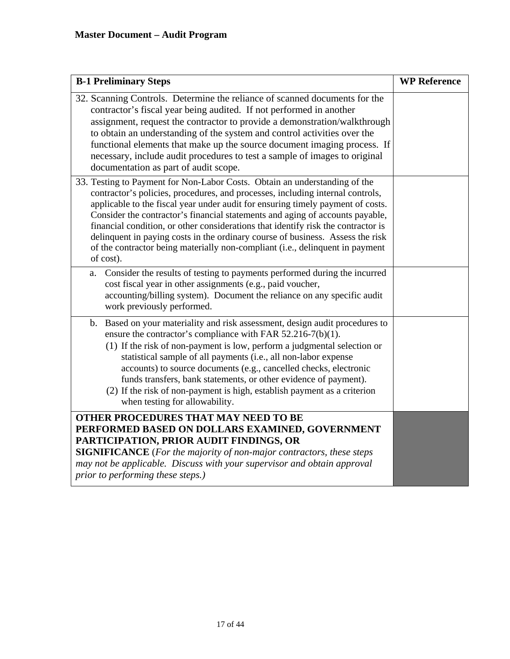| <b>B-1 Preliminary Steps</b>                                                                                                                                                                                                                                                                                                                                                                                                                                                                                                                                                                          | <b>WP Reference</b> |
|-------------------------------------------------------------------------------------------------------------------------------------------------------------------------------------------------------------------------------------------------------------------------------------------------------------------------------------------------------------------------------------------------------------------------------------------------------------------------------------------------------------------------------------------------------------------------------------------------------|---------------------|
| 32. Scanning Controls. Determine the reliance of scanned documents for the<br>contractor's fiscal year being audited. If not performed in another<br>assignment, request the contractor to provide a demonstration/walkthrough<br>to obtain an understanding of the system and control activities over the<br>functional elements that make up the source document imaging process. If<br>necessary, include audit procedures to test a sample of images to original<br>documentation as part of audit scope.                                                                                         |                     |
| 33. Testing to Payment for Non-Labor Costs. Obtain an understanding of the<br>contractor's policies, procedures, and processes, including internal controls,<br>applicable to the fiscal year under audit for ensuring timely payment of costs.<br>Consider the contractor's financial statements and aging of accounts payable,<br>financial condition, or other considerations that identify risk the contractor is<br>delinquent in paying costs in the ordinary course of business. Assess the risk<br>of the contractor being materially non-compliant (i.e., delinquent in payment<br>of cost). |                     |
| Consider the results of testing to payments performed during the incurred<br>a.<br>cost fiscal year in other assignments (e.g., paid voucher,<br>accounting/billing system). Document the reliance on any specific audit<br>work previously performed.                                                                                                                                                                                                                                                                                                                                                |                     |
| Based on your materiality and risk assessment, design audit procedures to<br>b.<br>ensure the contractor's compliance with FAR 52.216-7(b)(1).<br>(1) If the risk of non-payment is low, perform a judgmental selection or<br>statistical sample of all payments (i.e., all non-labor expense<br>accounts) to source documents (e.g., cancelled checks, electronic<br>funds transfers, bank statements, or other evidence of payment).<br>(2) If the risk of non-payment is high, establish payment as a criterion<br>when testing for allowability.                                                  |                     |
| OTHER PROCEDURES THAT MAY NEED TO BE<br>PERFORMED BASED ON DOLLARS EXAMINED, GOVERNMENT<br>PARTICIPATION, PRIOR AUDIT FINDINGS, OR<br><b>SIGNIFICANCE</b> (For the majority of non-major contractors, these steps<br>may not be applicable. Discuss with your supervisor and obtain approval<br>prior to performing these steps.)                                                                                                                                                                                                                                                                     |                     |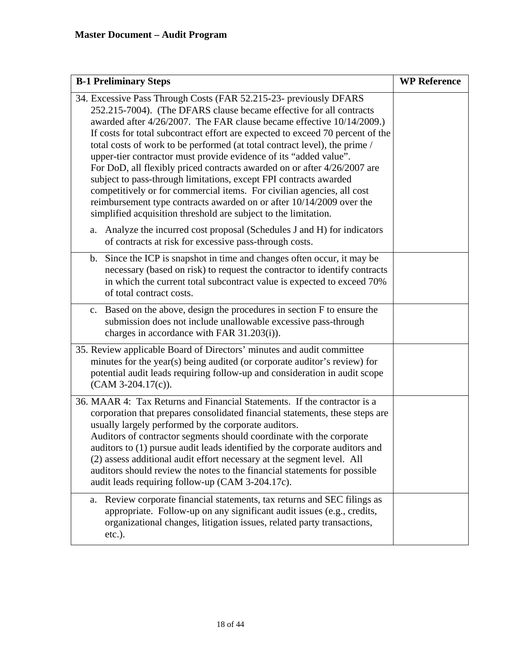| <b>B-1 Preliminary Steps</b>                                                                                                                                                                                                                                                                                                                                                                                                                                                                                                                                                                                                                                                                                                                                                                                                 | <b>WP Reference</b> |
|------------------------------------------------------------------------------------------------------------------------------------------------------------------------------------------------------------------------------------------------------------------------------------------------------------------------------------------------------------------------------------------------------------------------------------------------------------------------------------------------------------------------------------------------------------------------------------------------------------------------------------------------------------------------------------------------------------------------------------------------------------------------------------------------------------------------------|---------------------|
| 34. Excessive Pass Through Costs (FAR 52.215-23- previously DFARS<br>252.215-7004). (The DFARS clause became effective for all contracts<br>awarded after 4/26/2007. The FAR clause became effective 10/14/2009.)<br>If costs for total subcontract effort are expected to exceed 70 percent of the<br>total costs of work to be performed (at total contract level), the prime /<br>upper-tier contractor must provide evidence of its "added value".<br>For DoD, all flexibly priced contracts awarded on or after 4/26/2007 are<br>subject to pass-through limitations, except FPI contracts awarded<br>competitively or for commercial items. For civilian agencies, all cost<br>reimbursement type contracts awarded on or after 10/14/2009 over the<br>simplified acquisition threshold are subject to the limitation. |                     |
| Analyze the incurred cost proposal (Schedules J and H) for indicators<br>a.<br>of contracts at risk for excessive pass-through costs.                                                                                                                                                                                                                                                                                                                                                                                                                                                                                                                                                                                                                                                                                        |                     |
| Since the ICP is snapshot in time and changes often occur, it may be<br>b.<br>necessary (based on risk) to request the contractor to identify contracts<br>in which the current total subcontract value is expected to exceed 70%<br>of total contract costs.                                                                                                                                                                                                                                                                                                                                                                                                                                                                                                                                                                |                     |
| Based on the above, design the procedures in section F to ensure the<br>c.<br>submission does not include unallowable excessive pass-through<br>charges in accordance with FAR 31.203(i)).                                                                                                                                                                                                                                                                                                                                                                                                                                                                                                                                                                                                                                   |                     |
| 35. Review applicable Board of Directors' minutes and audit committee<br>minutes for the year(s) being audited (or corporate auditor's review) for<br>potential audit leads requiring follow-up and consideration in audit scope<br>$(CAM 3-204.17(c)).$                                                                                                                                                                                                                                                                                                                                                                                                                                                                                                                                                                     |                     |
| 36. MAAR 4: Tax Returns and Financial Statements. If the contractor is a<br>corporation that prepares consolidated financial statements, these steps are<br>usually largely performed by the corporate auditors.<br>Auditors of contractor segments should coordinate with the corporate<br>auditors to (1) pursue audit leads identified by the corporate auditors and<br>(2) assess additional audit effort necessary at the segment level. All<br>auditors should review the notes to the financial statements for possible<br>audit leads requiring follow-up (CAM 3-204.17c).                                                                                                                                                                                                                                           |                     |
| Review corporate financial statements, tax returns and SEC filings as<br>a.<br>appropriate. Follow-up on any significant audit issues (e.g., credits,<br>organizational changes, litigation issues, related party transactions,<br>$etc.$ ).                                                                                                                                                                                                                                                                                                                                                                                                                                                                                                                                                                                 |                     |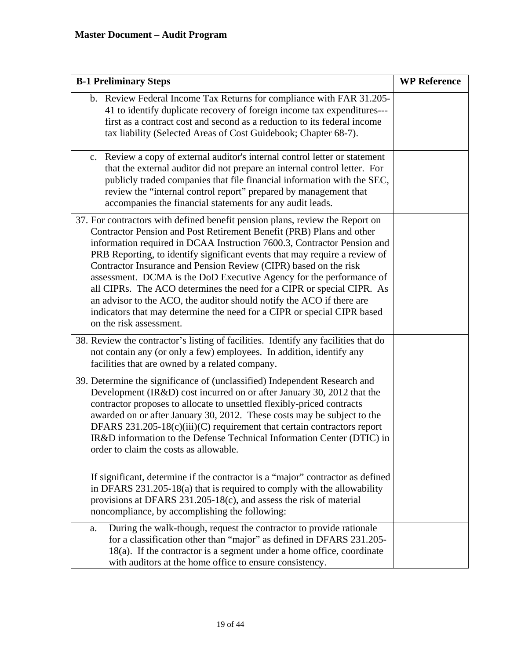| <b>B-1 Preliminary Steps</b>                                                                                                                                                                                                                                                                                                                                                                                                                                                                                                                                                                                                                                                                                     | <b>WP Reference</b> |
|------------------------------------------------------------------------------------------------------------------------------------------------------------------------------------------------------------------------------------------------------------------------------------------------------------------------------------------------------------------------------------------------------------------------------------------------------------------------------------------------------------------------------------------------------------------------------------------------------------------------------------------------------------------------------------------------------------------|---------------------|
| b. Review Federal Income Tax Returns for compliance with FAR 31.205-<br>41 to identify duplicate recovery of foreign income tax expenditures---<br>first as a contract cost and second as a reduction to its federal income<br>tax liability (Selected Areas of Cost Guidebook; Chapter 68-7).                                                                                                                                                                                                                                                                                                                                                                                                                   |                     |
| c. Review a copy of external auditor's internal control letter or statement<br>that the external auditor did not prepare an internal control letter. For<br>publicly traded companies that file financial information with the SEC,<br>review the "internal control report" prepared by management that<br>accompanies the financial statements for any audit leads.                                                                                                                                                                                                                                                                                                                                             |                     |
| 37. For contractors with defined benefit pension plans, review the Report on<br>Contractor Pension and Post Retirement Benefit (PRB) Plans and other<br>information required in DCAA Instruction 7600.3, Contractor Pension and<br>PRB Reporting, to identify significant events that may require a review of<br>Contractor Insurance and Pension Review (CIPR) based on the risk<br>assessment. DCMA is the DoD Executive Agency for the performance of<br>all CIPRs. The ACO determines the need for a CIPR or special CIPR. As<br>an advisor to the ACO, the auditor should notify the ACO if there are<br>indicators that may determine the need for a CIPR or special CIPR based<br>on the risk assessment. |                     |
| 38. Review the contractor's listing of facilities. Identify any facilities that do<br>not contain any (or only a few) employees. In addition, identify any<br>facilities that are owned by a related company.                                                                                                                                                                                                                                                                                                                                                                                                                                                                                                    |                     |
| 39. Determine the significance of (unclassified) Independent Research and<br>Development (IR&D) cost incurred on or after January 30, 2012 that the<br>contractor proposes to allocate to unsettled flexibly-priced contracts<br>awarded on or after January 30, 2012. These costs may be subject to the<br>DFARS $231.205-18(c)(iii)(C)$ requirement that certain contractors report<br>IR&D information to the Defense Technical Information Center (DTIC) in<br>order to claim the costs as allowable.<br>If significant, determine if the contractor is a "major" contractor as defined                                                                                                                      |                     |
| in DFARS $231.205-18(a)$ that is required to comply with the allowability<br>provisions at DFARS 231.205-18(c), and assess the risk of material<br>noncompliance, by accomplishing the following:                                                                                                                                                                                                                                                                                                                                                                                                                                                                                                                |                     |
| During the walk-though, request the contractor to provide rationale<br>a.<br>for a classification other than "major" as defined in DFARS 231.205-<br>18(a). If the contractor is a segment under a home office, coordinate<br>with auditors at the home office to ensure consistency.                                                                                                                                                                                                                                                                                                                                                                                                                            |                     |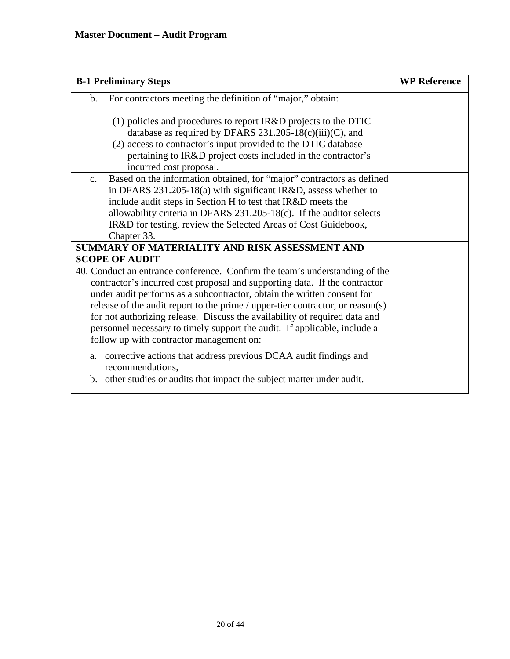| <b>B-1 Preliminary Steps</b>                                                                                                                                                                                                                                                                                                                                                                                                                                                                                                  | <b>WP Reference</b> |
|-------------------------------------------------------------------------------------------------------------------------------------------------------------------------------------------------------------------------------------------------------------------------------------------------------------------------------------------------------------------------------------------------------------------------------------------------------------------------------------------------------------------------------|---------------------|
| For contractors meeting the definition of "major," obtain:<br>$\mathbf b$ .                                                                                                                                                                                                                                                                                                                                                                                                                                                   |                     |
| (1) policies and procedures to report IR&D projects to the DTIC<br>database as required by DFARS $231.205-18(c)(iii)(C)$ , and<br>(2) access to contractor's input provided to the DTIC database<br>pertaining to IR&D project costs included in the contractor's<br>incurred cost proposal.                                                                                                                                                                                                                                  |                     |
| Based on the information obtained, for "major" contractors as defined<br>$C_{\bullet}$<br>in DFARS 231.205-18(a) with significant IR&D, assess whether to<br>include audit steps in Section H to test that IR&D meets the<br>allowability criteria in DFARS $231.205-18(c)$ . If the auditor selects<br>IR&D for testing, review the Selected Areas of Cost Guidebook,<br>Chapter 33.                                                                                                                                         |                     |
| SUMMARY OF MATERIALITY AND RISK ASSESSMENT AND<br><b>SCOPE OF AUDIT</b>                                                                                                                                                                                                                                                                                                                                                                                                                                                       |                     |
| 40. Conduct an entrance conference. Confirm the team's understanding of the<br>contractor's incurred cost proposal and supporting data. If the contractor<br>under audit performs as a subcontractor, obtain the written consent for<br>release of the audit report to the prime / upper-tier contractor, or reason(s)<br>for not authorizing release. Discuss the availability of required data and<br>personnel necessary to timely support the audit. If applicable, include a<br>follow up with contractor management on: |                     |
| a. corrective actions that address previous DCAA audit findings and<br>recommendations.<br>b. other studies or audits that impact the subject matter under audit.                                                                                                                                                                                                                                                                                                                                                             |                     |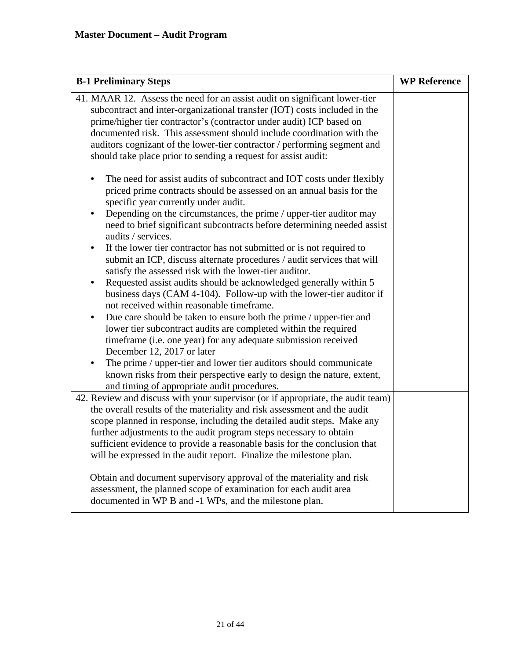| <b>B-1 Preliminary Steps</b>                                                                                                                                                                                                                                                                                                                                                                                                                                                                                                                                                                                                                                                                                                                                                                                                                                                                                                                                                                                                                                                                                                                                                                                             | <b>WP Reference</b> |
|--------------------------------------------------------------------------------------------------------------------------------------------------------------------------------------------------------------------------------------------------------------------------------------------------------------------------------------------------------------------------------------------------------------------------------------------------------------------------------------------------------------------------------------------------------------------------------------------------------------------------------------------------------------------------------------------------------------------------------------------------------------------------------------------------------------------------------------------------------------------------------------------------------------------------------------------------------------------------------------------------------------------------------------------------------------------------------------------------------------------------------------------------------------------------------------------------------------------------|---------------------|
| 41. MAAR 12. Assess the need for an assist audit on significant lower-tier<br>subcontract and inter-organizational transfer (IOT) costs included in the<br>prime/higher tier contractor's (contractor under audit) ICP based on<br>documented risk. This assessment should include coordination with the<br>auditors cognizant of the lower-tier contractor / performing segment and<br>should take place prior to sending a request for assist audit:                                                                                                                                                                                                                                                                                                                                                                                                                                                                                                                                                                                                                                                                                                                                                                   |                     |
| The need for assist audits of subcontract and IOT costs under flexibly<br>priced prime contracts should be assessed on an annual basis for the<br>specific year currently under audit.<br>Depending on the circumstances, the prime / upper-tier auditor may<br>need to brief significant subcontracts before determining needed assist<br>audits / services.<br>If the lower tier contractor has not submitted or is not required to<br>٠<br>submit an ICP, discuss alternate procedures / audit services that will<br>satisfy the assessed risk with the lower-tier auditor.<br>Requested assist audits should be acknowledged generally within 5<br>٠<br>business days (CAM 4-104). Follow-up with the lower-tier auditor if<br>not received within reasonable timeframe.<br>Due care should be taken to ensure both the prime / upper-tier and<br>٠<br>lower tier subcontract audits are completed within the required<br>timeframe (i.e. one year) for any adequate submission received<br>December 12, 2017 or later<br>The prime / upper-tier and lower tier auditors should communicate<br>known risks from their perspective early to design the nature, extent,<br>and timing of appropriate audit procedures. |                     |
| 42. Review and discuss with your supervisor (or if appropriate, the audit team)<br>the overall results of the materiality and risk assessment and the audit<br>scope planned in response, including the detailed audit steps. Make any<br>further adjustments to the audit program steps necessary to obtain<br>sufficient evidence to provide a reasonable basis for the conclusion that<br>will be expressed in the audit report. Finalize the milestone plan.<br>Obtain and document supervisory approval of the materiality and risk<br>assessment, the planned scope of examination for each audit area<br>documented in WP B and -1 WPs, and the milestone plan.                                                                                                                                                                                                                                                                                                                                                                                                                                                                                                                                                   |                     |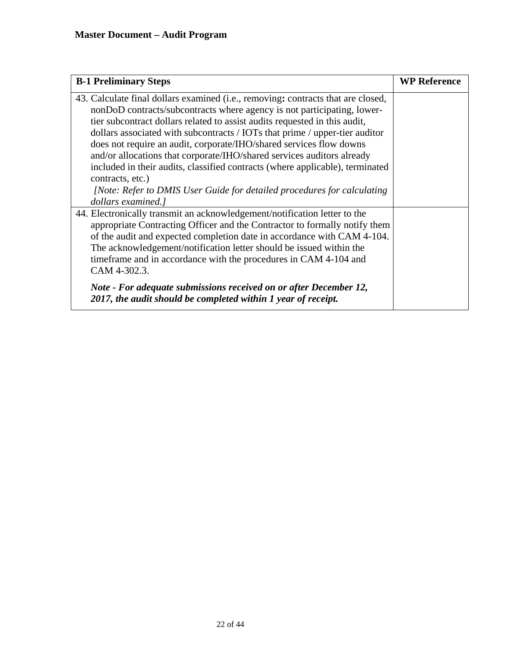| <b>B-1 Preliminary Steps</b>                                                                                                                                                                                                                                                                                                                                                                                                                                                                                                                                                                                                                                                    | <b>WP Reference</b> |
|---------------------------------------------------------------------------------------------------------------------------------------------------------------------------------------------------------------------------------------------------------------------------------------------------------------------------------------------------------------------------------------------------------------------------------------------------------------------------------------------------------------------------------------------------------------------------------------------------------------------------------------------------------------------------------|---------------------|
| 43. Calculate final dollars examined (i.e., removing: contracts that are closed,<br>nonDoD contracts/subcontracts where agency is not participating, lower-<br>tier subcontract dollars related to assist audits requested in this audit,<br>dollars associated with subcontracts / IOTs that prime / upper-tier auditor<br>does not require an audit, corporate/IHO/shared services flow downs<br>and/or allocations that corporate/IHO/shared services auditors already<br>included in their audits, classified contracts (where applicable), terminated<br>contracts, etc.)<br>[Note: Refer to DMIS User Guide for detailed procedures for calculating<br>dollars examined.] |                     |
| 44. Electronically transmit an acknowledgement/notification letter to the<br>appropriate Contracting Officer and the Contractor to formally notify them<br>of the audit and expected completion date in accordance with CAM 4-104.<br>The acknowledgement/notification letter should be issued within the<br>timeframe and in accordance with the procedures in CAM 4-104 and<br>CAM 4-302.3.<br>Note - For adequate submissions received on or after December 12,<br>2017, the audit should be completed within 1 year of receipt.                                                                                                                                             |                     |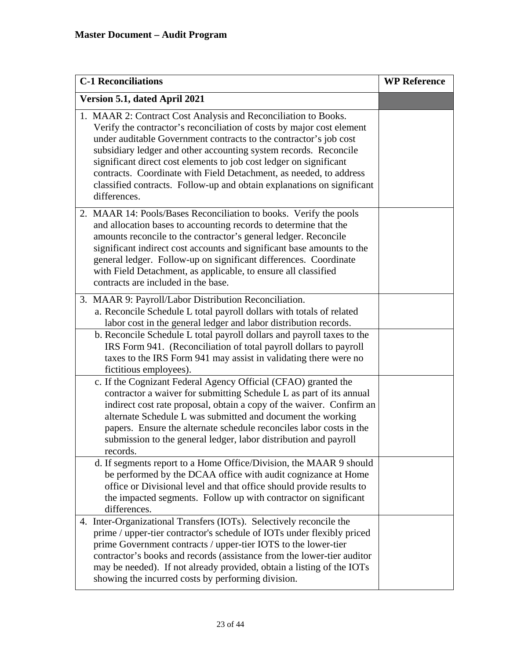| <b>C-1 Reconciliations</b>                                                                                                                                                                                                                                                                                                                                                                                                                                                                                             | <b>WP Reference</b> |
|------------------------------------------------------------------------------------------------------------------------------------------------------------------------------------------------------------------------------------------------------------------------------------------------------------------------------------------------------------------------------------------------------------------------------------------------------------------------------------------------------------------------|---------------------|
| Version 5.1, dated April 2021                                                                                                                                                                                                                                                                                                                                                                                                                                                                                          |                     |
| 1. MAAR 2: Contract Cost Analysis and Reconciliation to Books.<br>Verify the contractor's reconciliation of costs by major cost element<br>under auditable Government contracts to the contractor's job cost<br>subsidiary ledger and other accounting system records. Reconcile<br>significant direct cost elements to job cost ledger on significant<br>contracts. Coordinate with Field Detachment, as needed, to address<br>classified contracts. Follow-up and obtain explanations on significant<br>differences. |                     |
| 2. MAAR 14: Pools/Bases Reconciliation to books. Verify the pools<br>and allocation bases to accounting records to determine that the<br>amounts reconcile to the contractor's general ledger. Reconcile<br>significant indirect cost accounts and significant base amounts to the<br>general ledger. Follow-up on significant differences. Coordinate<br>with Field Detachment, as applicable, to ensure all classified<br>contracts are included in the base.                                                        |                     |
| 3. MAAR 9: Payroll/Labor Distribution Reconciliation.<br>a. Reconcile Schedule L total payroll dollars with totals of related<br>labor cost in the general ledger and labor distribution records.                                                                                                                                                                                                                                                                                                                      |                     |
| b. Reconcile Schedule L total payroll dollars and payroll taxes to the<br>IRS Form 941. (Reconciliation of total payroll dollars to payroll<br>taxes to the IRS Form 941 may assist in validating there were no<br>fictitious employees).                                                                                                                                                                                                                                                                              |                     |
| c. If the Cognizant Federal Agency Official (CFAO) granted the<br>contractor a waiver for submitting Schedule L as part of its annual<br>indirect cost rate proposal, obtain a copy of the waiver. Confirm an<br>alternate Schedule L was submitted and document the working<br>papers. Ensure the alternate schedule reconciles labor costs in the<br>submission to the general ledger, labor distribution and payroll<br>records.                                                                                    |                     |
| d. If segments report to a Home Office/Division, the MAAR 9 should<br>be performed by the DCAA office with audit cognizance at Home<br>office or Divisional level and that office should provide results to<br>the impacted segments. Follow up with contractor on significant<br>differences.                                                                                                                                                                                                                         |                     |
| 4. Inter-Organizational Transfers (IOTs). Selectively reconcile the<br>prime / upper-tier contractor's schedule of IOTs under flexibly priced<br>prime Government contracts / upper-tier IOTS to the lower-tier<br>contractor's books and records (assistance from the lower-tier auditor<br>may be needed). If not already provided, obtain a listing of the IOTs<br>showing the incurred costs by performing division.                                                                                               |                     |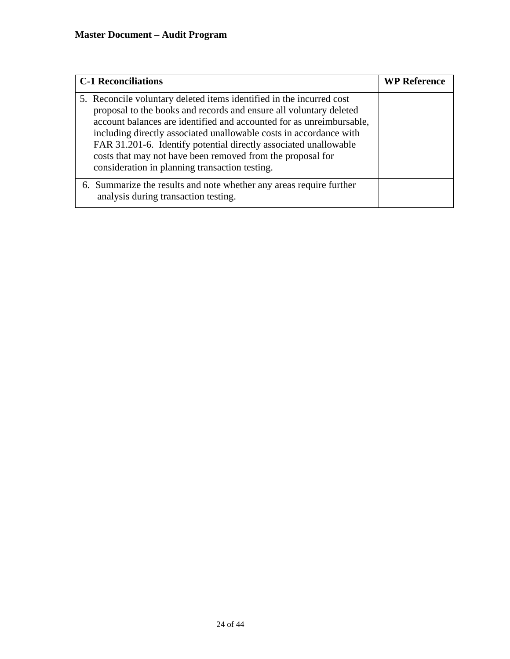| <b>C-1 Reconciliations</b>                                                                                                                                                                                                                                                                                                                                                                                                                                                   | <b>WP Reference</b> |
|------------------------------------------------------------------------------------------------------------------------------------------------------------------------------------------------------------------------------------------------------------------------------------------------------------------------------------------------------------------------------------------------------------------------------------------------------------------------------|---------------------|
| 5. Reconcile voluntary deleted items identified in the incurred cost<br>proposal to the books and records and ensure all voluntary deleted<br>account balances are identified and accounted for as unreimbursable,<br>including directly associated unallowable costs in accordance with<br>FAR 31.201-6. Identify potential directly associated unallowable<br>costs that may not have been removed from the proposal for<br>consideration in planning transaction testing. |                     |
| 6. Summarize the results and note whether any areas require further<br>analysis during transaction testing.                                                                                                                                                                                                                                                                                                                                                                  |                     |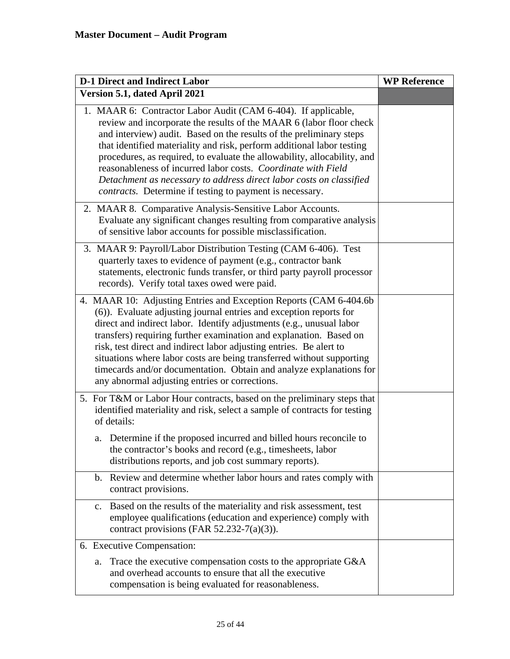| <b>D-1 Direct and Indirect Labor</b>                                                                                                                                                                                                                                                                                                                                                                                                                                                                                                                                         | <b>WP Reference</b> |
|------------------------------------------------------------------------------------------------------------------------------------------------------------------------------------------------------------------------------------------------------------------------------------------------------------------------------------------------------------------------------------------------------------------------------------------------------------------------------------------------------------------------------------------------------------------------------|---------------------|
| Version 5.1, dated April 2021                                                                                                                                                                                                                                                                                                                                                                                                                                                                                                                                                |                     |
| 1. MAAR 6: Contractor Labor Audit (CAM 6-404). If applicable,<br>review and incorporate the results of the MAAR 6 (labor floor check<br>and interview) audit. Based on the results of the preliminary steps<br>that identified materiality and risk, perform additional labor testing<br>procedures, as required, to evaluate the allowability, allocability, and<br>reasonableness of incurred labor costs. Coordinate with Field<br>Detachment as necessary to address direct labor costs on classified<br><i>contracts.</i> Determine if testing to payment is necessary. |                     |
| 2. MAAR 8. Comparative Analysis-Sensitive Labor Accounts.<br>Evaluate any significant changes resulting from comparative analysis<br>of sensitive labor accounts for possible misclassification.                                                                                                                                                                                                                                                                                                                                                                             |                     |
| 3. MAAR 9: Payroll/Labor Distribution Testing (CAM 6-406). Test<br>quarterly taxes to evidence of payment (e.g., contractor bank<br>statements, electronic funds transfer, or third party payroll processor<br>records). Verify total taxes owed were paid.                                                                                                                                                                                                                                                                                                                  |                     |
| 4. MAAR 10: Adjusting Entries and Exception Reports (CAM 6-404.6b)<br>(6)). Evaluate adjusting journal entries and exception reports for<br>direct and indirect labor. Identify adjustments (e.g., unusual labor<br>transfers) requiring further examination and explanation. Based on<br>risk, test direct and indirect labor adjusting entries. Be alert to<br>situations where labor costs are being transferred without supporting<br>timecards and/or documentation. Obtain and analyze explanations for<br>any abnormal adjusting entries or corrections.              |                     |
| 5. For T&M or Labor Hour contracts, based on the preliminary steps that<br>identified materiality and risk, select a sample of contracts for testing<br>of details:                                                                                                                                                                                                                                                                                                                                                                                                          |                     |
| a. Determine if the proposed incurred and billed hours reconcile to<br>the contractor's books and record (e.g., timesheets, labor<br>distributions reports, and job cost summary reports).                                                                                                                                                                                                                                                                                                                                                                                   |                     |
| b. Review and determine whether labor hours and rates comply with<br>contract provisions.                                                                                                                                                                                                                                                                                                                                                                                                                                                                                    |                     |
| Based on the results of the materiality and risk assessment, test<br>c.<br>employee qualifications (education and experience) comply with<br>contract provisions (FAR 52.232-7(a)(3)).                                                                                                                                                                                                                                                                                                                                                                                       |                     |
| 6. Executive Compensation:                                                                                                                                                                                                                                                                                                                                                                                                                                                                                                                                                   |                     |
| Trace the executive compensation costs to the appropriate G&A<br>a.<br>and overhead accounts to ensure that all the executive<br>compensation is being evaluated for reasonableness.                                                                                                                                                                                                                                                                                                                                                                                         |                     |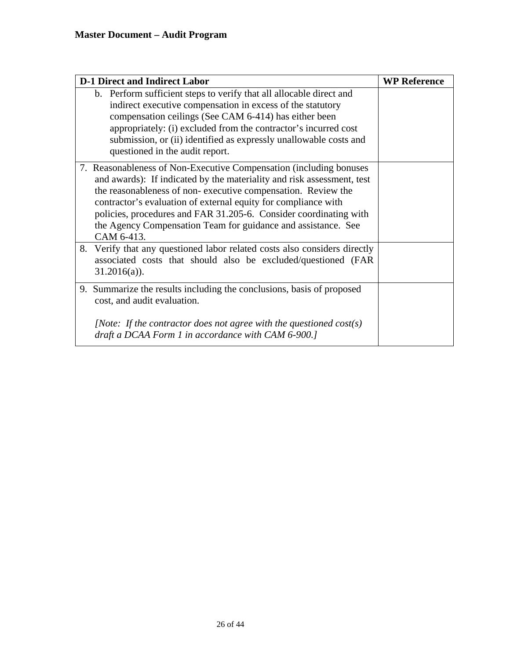| <b>D-1 Direct and Indirect Labor</b>                                                                                                                                                                                                                                                                                                                                                                                                | <b>WP Reference</b> |
|-------------------------------------------------------------------------------------------------------------------------------------------------------------------------------------------------------------------------------------------------------------------------------------------------------------------------------------------------------------------------------------------------------------------------------------|---------------------|
| b. Perform sufficient steps to verify that all allocable direct and<br>indirect executive compensation in excess of the statutory<br>compensation ceilings (See CAM 6-414) has either been<br>appropriately: (i) excluded from the contractor's incurred cost<br>submission, or (ii) identified as expressly unallowable costs and<br>questioned in the audit report.                                                               |                     |
| 7. Reasonableness of Non-Executive Compensation (including bonuses)<br>and awards): If indicated by the materiality and risk assessment, test<br>the reasonableness of non-executive compensation. Review the<br>contractor's evaluation of external equity for compliance with<br>policies, procedures and FAR 31.205-6. Consider coordinating with<br>the Agency Compensation Team for guidance and assistance. See<br>CAM 6-413. |                     |
| Verify that any questioned labor related costs also considers directly<br>8.<br>associated costs that should also be excluded/questioned (FAR<br>$31.2016(a)$ ).                                                                                                                                                                                                                                                                    |                     |
| 9. Summarize the results including the conclusions, basis of proposed<br>cost, and audit evaluation.<br>[Note: If the contractor does not agree with the questioned $cost(s)$ ]<br>draft a DCAA Form 1 in accordance with CAM 6-900.]                                                                                                                                                                                               |                     |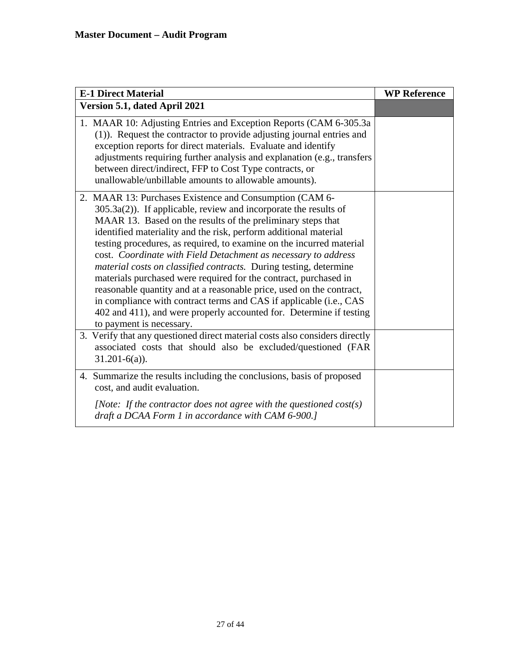| <b>E-1 Direct Material</b>                                                                                                                                                                                                                                                                                                                                                                                                                                                                                                                                                                                                                                                                                                                                                                            | <b>WP Reference</b> |
|-------------------------------------------------------------------------------------------------------------------------------------------------------------------------------------------------------------------------------------------------------------------------------------------------------------------------------------------------------------------------------------------------------------------------------------------------------------------------------------------------------------------------------------------------------------------------------------------------------------------------------------------------------------------------------------------------------------------------------------------------------------------------------------------------------|---------------------|
| Version 5.1, dated April 2021                                                                                                                                                                                                                                                                                                                                                                                                                                                                                                                                                                                                                                                                                                                                                                         |                     |
| 1. MAAR 10: Adjusting Entries and Exception Reports (CAM 6-305.3a<br>(1)). Request the contractor to provide adjusting journal entries and<br>exception reports for direct materials. Evaluate and identify<br>adjustments requiring further analysis and explanation (e.g., transfers<br>between direct/indirect, FFP to Cost Type contracts, or<br>unallowable/unbillable amounts to allowable amounts).                                                                                                                                                                                                                                                                                                                                                                                            |                     |
| 2. MAAR 13: Purchases Existence and Consumption (CAM 6-<br>$305.3a(2)$ ). If applicable, review and incorporate the results of<br>MAAR 13. Based on the results of the preliminary steps that<br>identified materiality and the risk, perform additional material<br>testing procedures, as required, to examine on the incurred material<br>cost. Coordinate with Field Detachment as necessary to address<br>material costs on classified contracts. During testing, determine<br>materials purchased were required for the contract, purchased in<br>reasonable quantity and at a reasonable price, used on the contract,<br>in compliance with contract terms and CAS if applicable (i.e., CAS<br>402 and 411), and were properly accounted for. Determine if testing<br>to payment is necessary. |                     |
| 3. Verify that any questioned direct material costs also considers directly<br>associated costs that should also be excluded/questioned (FAR<br>$31.201-6(a)$ ).                                                                                                                                                                                                                                                                                                                                                                                                                                                                                                                                                                                                                                      |                     |
| 4. Summarize the results including the conclusions, basis of proposed<br>cost, and audit evaluation.                                                                                                                                                                                                                                                                                                                                                                                                                                                                                                                                                                                                                                                                                                  |                     |
| [Note: If the contractor does not agree with the questioned $cost(s)$ ]<br>draft a DCAA Form 1 in accordance with CAM 6-900.]                                                                                                                                                                                                                                                                                                                                                                                                                                                                                                                                                                                                                                                                         |                     |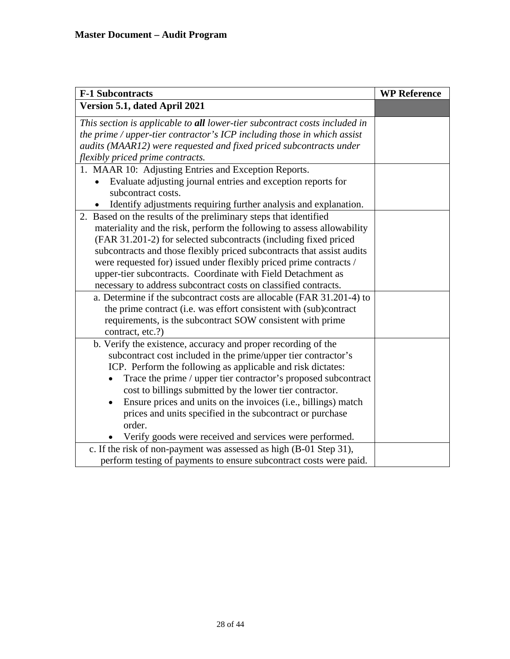| <b>F-1 Subcontracts</b>                                                            | <b>WP Reference</b> |
|------------------------------------------------------------------------------------|---------------------|
| Version 5.1, dated April 2021                                                      |                     |
| This section is applicable to all lower-tier subcontract costs included in         |                     |
| the prime / upper-tier contractor's ICP including those in which assist            |                     |
| audits (MAAR12) were requested and fixed priced subcontracts under                 |                     |
| flexibly priced prime contracts.                                                   |                     |
| 1. MAAR 10: Adjusting Entries and Exception Reports.                               |                     |
| Evaluate adjusting journal entries and exception reports for<br>subcontract costs. |                     |
| Identify adjustments requiring further analysis and explanation.                   |                     |
| 2. Based on the results of the preliminary steps that identified                   |                     |
| materiality and the risk, perform the following to assess allowability             |                     |
| (FAR 31.201-2) for selected subcontracts (including fixed priced                   |                     |
| subcontracts and those flexibly priced subcontracts that assist audits             |                     |
| were requested for) issued under flexibly priced prime contracts /                 |                     |
| upper-tier subcontracts. Coordinate with Field Detachment as                       |                     |
| necessary to address subcontract costs on classified contracts.                    |                     |
| a. Determine if the subcontract costs are allocable (FAR 31.201-4) to              |                     |
| the prime contract (i.e. was effort consistent with (sub)contract                  |                     |
| requirements, is the subcontract SOW consistent with prime                         |                     |
| contract, etc.?)                                                                   |                     |
| b. Verify the existence, accuracy and proper recording of the                      |                     |
| subcontract cost included in the prime/upper tier contractor's                     |                     |
| ICP. Perform the following as applicable and risk dictates:                        |                     |
| Trace the prime / upper tier contractor's proposed subcontract                     |                     |
| cost to billings submitted by the lower tier contractor.                           |                     |
| Ensure prices and units on the invoices (i.e., billings) match                     |                     |
| prices and units specified in the subcontract or purchase                          |                     |
| order.                                                                             |                     |
| Verify goods were received and services were performed.                            |                     |
| c. If the risk of non-payment was assessed as high (B-01 Step 31),                 |                     |
| perform testing of payments to ensure subcontract costs were paid.                 |                     |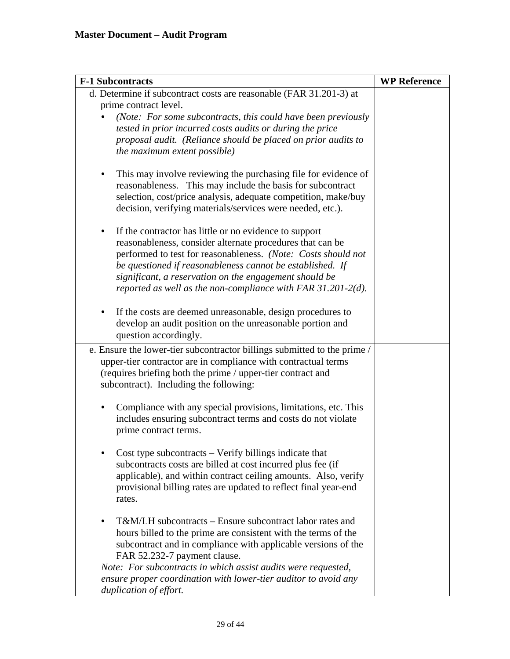| <b>F-1 Subcontracts</b>                                                                                                                                                                                                                                                                                                                                                                     | <b>WP Reference</b> |
|---------------------------------------------------------------------------------------------------------------------------------------------------------------------------------------------------------------------------------------------------------------------------------------------------------------------------------------------------------------------------------------------|---------------------|
| d. Determine if subcontract costs are reasonable (FAR 31.201-3) at                                                                                                                                                                                                                                                                                                                          |                     |
| prime contract level.<br>(Note: For some subcontracts, this could have been previously<br>tested in prior incurred costs audits or during the price<br>proposal audit. (Reliance should be placed on prior audits to<br>the maximum extent possible)                                                                                                                                        |                     |
| This may involve reviewing the purchasing file for evidence of<br>reasonableness. This may include the basis for subcontract<br>selection, cost/price analysis, adequate competition, make/buy<br>decision, verifying materials/services were needed, etc.).                                                                                                                                |                     |
| If the contractor has little or no evidence to support<br>$\bullet$<br>reasonableness, consider alternate procedures that can be<br>performed to test for reasonableness. (Note: Costs should not<br>be questioned if reasonableness cannot be established. If<br>significant, a reservation on the engagement should be<br>reported as well as the non-compliance with FAR $31.201-2(d)$ . |                     |
| If the costs are deemed unreasonable, design procedures to<br>$\bullet$<br>develop an audit position on the unreasonable portion and<br>question accordingly.                                                                                                                                                                                                                               |                     |
| e. Ensure the lower-tier subcontractor billings submitted to the prime /<br>upper-tier contractor are in compliance with contractual terms<br>(requires briefing both the prime / upper-tier contract and<br>subcontract). Including the following:                                                                                                                                         |                     |
| Compliance with any special provisions, limitations, etc. This<br>$\bullet$<br>includes ensuring subcontract terms and costs do not violate<br>prime contract terms.                                                                                                                                                                                                                        |                     |
| Cost type subcontracts – Verify billings indicate that<br>subcontracts costs are billed at cost incurred plus fee (if<br>applicable), and within contract ceiling amounts. Also, verify<br>provisional billing rates are updated to reflect final year-end<br>rates.                                                                                                                        |                     |
| T&M/LH subcontracts – Ensure subcontract labor rates and<br>hours billed to the prime are consistent with the terms of the<br>subcontract and in compliance with applicable versions of the<br>FAR 52.232-7 payment clause.<br>Note: For subcontracts in which assist audits were requested,                                                                                                |                     |
| ensure proper coordination with lower-tier auditor to avoid any<br>duplication of effort.                                                                                                                                                                                                                                                                                                   |                     |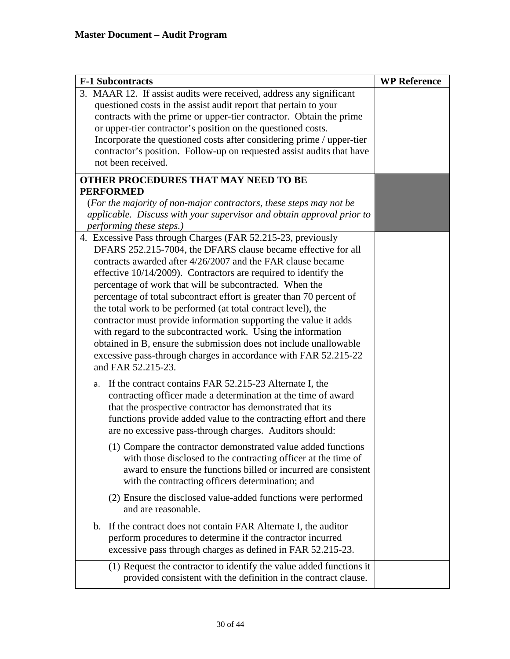| <b>F-1 Subcontracts</b>                                                                                                                 | <b>WP Reference</b> |
|-----------------------------------------------------------------------------------------------------------------------------------------|---------------------|
| 3. MAAR 12. If assist audits were received, address any significant<br>questioned costs in the assist audit report that pertain to your |                     |
| contracts with the prime or upper-tier contractor. Obtain the prime<br>or upper-tier contractor's position on the questioned costs.     |                     |
| Incorporate the questioned costs after considering prime / upper-tier                                                                   |                     |
| contractor's position. Follow-up on requested assist audits that have                                                                   |                     |
| not been received.                                                                                                                      |                     |
| OTHER PROCEDURES THAT MAY NEED TO BE                                                                                                    |                     |
| <b>PERFORMED</b>                                                                                                                        |                     |
| (For the majority of non-major contractors, these steps may not be                                                                      |                     |
| applicable. Discuss with your supervisor and obtain approval prior to                                                                   |                     |
| performing these steps.)                                                                                                                |                     |
| 4. Excessive Pass through Charges (FAR 52.215-23, previously                                                                            |                     |
| DFARS 252.215-7004, the DFARS clause became effective for all                                                                           |                     |
| contracts awarded after 4/26/2007 and the FAR clause became                                                                             |                     |
| effective $10/14/2009$ ). Contractors are required to identify the                                                                      |                     |
| percentage of work that will be subcontracted. When the                                                                                 |                     |
| percentage of total subcontract effort is greater than 70 percent of                                                                    |                     |
| the total work to be performed (at total contract level), the                                                                           |                     |
| contractor must provide information supporting the value it adds                                                                        |                     |
| with regard to the subcontracted work. Using the information                                                                            |                     |
| obtained in B, ensure the submission does not include unallowable                                                                       |                     |
| excessive pass-through charges in accordance with FAR 52.215-22<br>and FAR 52.215-23.                                                   |                     |
|                                                                                                                                         |                     |
| If the contract contains FAR 52.215-23 Alternate I, the<br>a.                                                                           |                     |
| contracting officer made a determination at the time of award                                                                           |                     |
| that the prospective contractor has demonstrated that its                                                                               |                     |
| functions provide added value to the contracting effort and there                                                                       |                     |
| are no excessive pass-through charges. Auditors should:                                                                                 |                     |
| (1) Compare the contractor demonstrated value added functions                                                                           |                     |
| with those disclosed to the contracting officer at the time of                                                                          |                     |
| award to ensure the functions billed or incurred are consistent                                                                         |                     |
| with the contracting officers determination; and                                                                                        |                     |
| (2) Ensure the disclosed value-added functions were performed                                                                           |                     |
| and are reasonable.                                                                                                                     |                     |
| If the contract does not contain FAR Alternate I, the auditor<br>$\mathbf{b}$ .                                                         |                     |
| perform procedures to determine if the contractor incurred                                                                              |                     |
| excessive pass through charges as defined in FAR 52.215-23.                                                                             |                     |
| (1) Request the contractor to identify the value added functions it                                                                     |                     |
| provided consistent with the definition in the contract clause.                                                                         |                     |
|                                                                                                                                         |                     |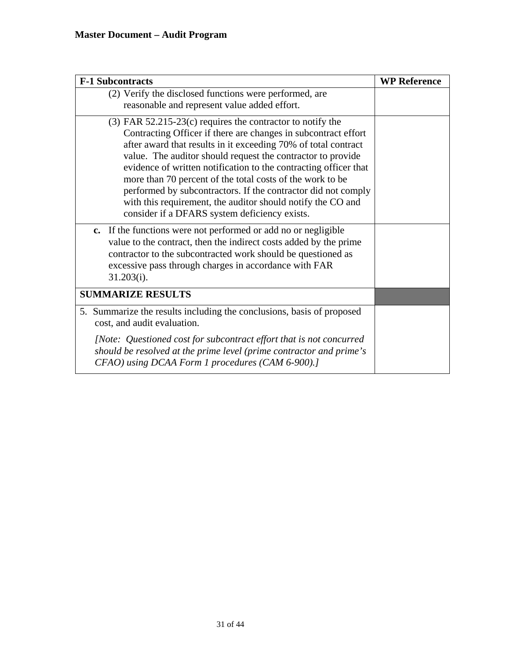| <b>F-1 Subcontracts</b>                                                                                                                                                                                                                                                                                                                                                                                                                                                                                                                                                              | <b>WP Reference</b> |
|--------------------------------------------------------------------------------------------------------------------------------------------------------------------------------------------------------------------------------------------------------------------------------------------------------------------------------------------------------------------------------------------------------------------------------------------------------------------------------------------------------------------------------------------------------------------------------------|---------------------|
| (2) Verify the disclosed functions were performed, are<br>reasonable and represent value added effort.                                                                                                                                                                                                                                                                                                                                                                                                                                                                               |                     |
| $(3)$ FAR 52.215-23 $(c)$ requires the contractor to notify the<br>Contracting Officer if there are changes in subcontract effort<br>after award that results in it exceeding 70% of total contract<br>value. The auditor should request the contractor to provide<br>evidence of written notification to the contracting officer that<br>more than 70 percent of the total costs of the work to be<br>performed by subcontractors. If the contractor did not comply<br>with this requirement, the auditor should notify the CO and<br>consider if a DFARS system deficiency exists. |                     |
| c. If the functions were not performed or add no or negligible<br>value to the contract, then the indirect costs added by the prime<br>contractor to the subcontracted work should be questioned as<br>excessive pass through charges in accordance with FAR<br>$31.203(i)$ .                                                                                                                                                                                                                                                                                                        |                     |
| <b>SUMMARIZE RESULTS</b>                                                                                                                                                                                                                                                                                                                                                                                                                                                                                                                                                             |                     |
| 5. Summarize the results including the conclusions, basis of proposed<br>cost, and audit evaluation.                                                                                                                                                                                                                                                                                                                                                                                                                                                                                 |                     |
| [Note: Questioned cost for subcontract effort that is not concurred<br>should be resolved at the prime level (prime contractor and prime's<br>CFAO) using DCAA Form 1 procedures (CAM 6-900).]                                                                                                                                                                                                                                                                                                                                                                                       |                     |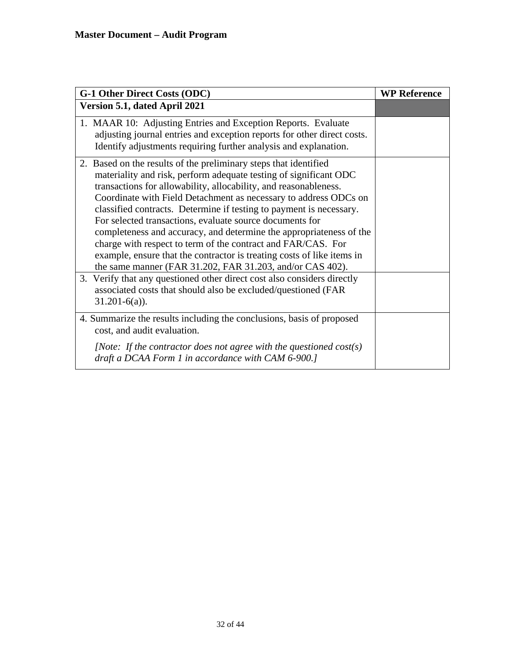| <b>G-1 Other Direct Costs (ODC)</b>                                                                                                                                                                                                                                                                                                                                                                                                                                                                                                                                                                                                                                                            | <b>WP Reference</b> |
|------------------------------------------------------------------------------------------------------------------------------------------------------------------------------------------------------------------------------------------------------------------------------------------------------------------------------------------------------------------------------------------------------------------------------------------------------------------------------------------------------------------------------------------------------------------------------------------------------------------------------------------------------------------------------------------------|---------------------|
| Version 5.1, dated April 2021                                                                                                                                                                                                                                                                                                                                                                                                                                                                                                                                                                                                                                                                  |                     |
| 1. MAAR 10: Adjusting Entries and Exception Reports. Evaluate<br>adjusting journal entries and exception reports for other direct costs.<br>Identify adjustments requiring further analysis and explanation.                                                                                                                                                                                                                                                                                                                                                                                                                                                                                   |                     |
| 2. Based on the results of the preliminary steps that identified<br>materiality and risk, perform adequate testing of significant ODC<br>transactions for allowability, allocability, and reasonableness.<br>Coordinate with Field Detachment as necessary to address ODCs on<br>classified contracts. Determine if testing to payment is necessary.<br>For selected transactions, evaluate source documents for<br>completeness and accuracy, and determine the appropriateness of the<br>charge with respect to term of the contract and FAR/CAS. For<br>example, ensure that the contractor is treating costs of like items in<br>the same manner (FAR 31.202, FAR 31.203, and/or CAS 402). |                     |
| 3. Verify that any questioned other direct cost also considers directly<br>associated costs that should also be excluded/questioned (FAR<br>$31.201-6(a)$ ).                                                                                                                                                                                                                                                                                                                                                                                                                                                                                                                                   |                     |
| 4. Summarize the results including the conclusions, basis of proposed<br>cost, and audit evaluation.                                                                                                                                                                                                                                                                                                                                                                                                                                                                                                                                                                                           |                     |
| [Note: If the contractor does not agree with the questioned $cost(s)$ ]<br>draft a DCAA Form 1 in accordance with CAM 6-900.]                                                                                                                                                                                                                                                                                                                                                                                                                                                                                                                                                                  |                     |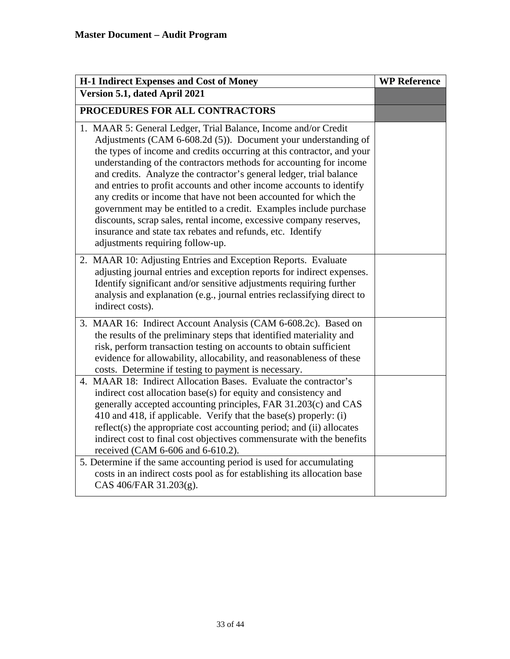| <b>H-1 Indirect Expenses and Cost of Money</b>                                                                                                                                                                                                                                                                                                                                                                                                                                                                                                                                                                                                                                                                                                   | <b>WP Reference</b> |
|--------------------------------------------------------------------------------------------------------------------------------------------------------------------------------------------------------------------------------------------------------------------------------------------------------------------------------------------------------------------------------------------------------------------------------------------------------------------------------------------------------------------------------------------------------------------------------------------------------------------------------------------------------------------------------------------------------------------------------------------------|---------------------|
| Version 5.1, dated April 2021                                                                                                                                                                                                                                                                                                                                                                                                                                                                                                                                                                                                                                                                                                                    |                     |
| PROCEDURES FOR ALL CONTRACTORS                                                                                                                                                                                                                                                                                                                                                                                                                                                                                                                                                                                                                                                                                                                   |                     |
| 1. MAAR 5: General Ledger, Trial Balance, Income and/or Credit<br>Adjustments (CAM 6-608.2d (5)). Document your understanding of<br>the types of income and credits occurring at this contractor, and your<br>understanding of the contractors methods for accounting for income<br>and credits. Analyze the contractor's general ledger, trial balance<br>and entries to profit accounts and other income accounts to identify<br>any credits or income that have not been accounted for which the<br>government may be entitled to a credit. Examples include purchase<br>discounts, scrap sales, rental income, excessive company reserves,<br>insurance and state tax rebates and refunds, etc. Identify<br>adjustments requiring follow-up. |                     |
| 2. MAAR 10: Adjusting Entries and Exception Reports. Evaluate<br>adjusting journal entries and exception reports for indirect expenses.<br>Identify significant and/or sensitive adjustments requiring further<br>analysis and explanation (e.g., journal entries reclassifying direct to<br>indirect costs).                                                                                                                                                                                                                                                                                                                                                                                                                                    |                     |
| 3. MAAR 16: Indirect Account Analysis (CAM 6-608.2c). Based on<br>the results of the preliminary steps that identified materiality and<br>risk, perform transaction testing on accounts to obtain sufficient<br>evidence for allowability, allocability, and reasonableness of these<br>costs. Determine if testing to payment is necessary.                                                                                                                                                                                                                                                                                                                                                                                                     |                     |
| 4. MAAR 18: Indirect Allocation Bases. Evaluate the contractor's<br>indirect cost allocation base(s) for equity and consistency and<br>generally accepted accounting principles, FAR 31.203(c) and CAS<br>410 and 418, if applicable. Verify that the base(s) properly: (i)<br>reflect(s) the appropriate cost accounting period; and (ii) allocates<br>indirect cost to final cost objectives commensurate with the benefits<br>received (CAM 6-606 and 6-610.2).                                                                                                                                                                                                                                                                               |                     |
| 5. Determine if the same accounting period is used for accumulating<br>costs in an indirect costs pool as for establishing its allocation base<br>CAS 406/FAR 31.203(g).                                                                                                                                                                                                                                                                                                                                                                                                                                                                                                                                                                         |                     |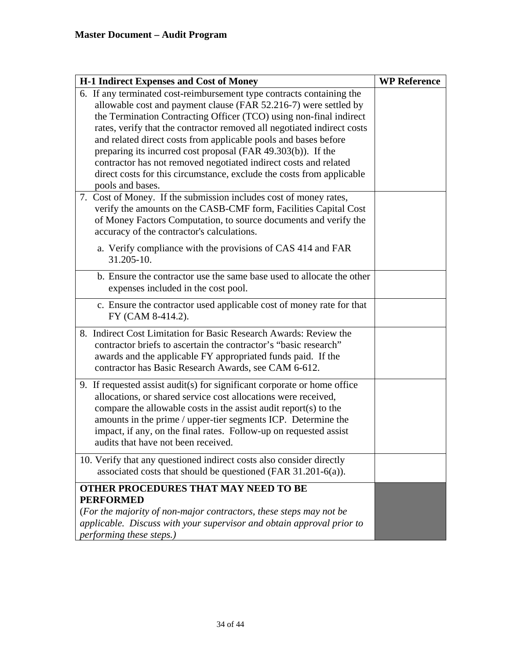| <b>H-1 Indirect Expenses and Cost of Money</b>                                                                                                                                                                                                                                                                                                                                                                                                                                                                                                                                                 | <b>WP Reference</b> |
|------------------------------------------------------------------------------------------------------------------------------------------------------------------------------------------------------------------------------------------------------------------------------------------------------------------------------------------------------------------------------------------------------------------------------------------------------------------------------------------------------------------------------------------------------------------------------------------------|---------------------|
| 6. If any terminated cost-reimbursement type contracts containing the<br>allowable cost and payment clause (FAR 52.216-7) were settled by<br>the Termination Contracting Officer (TCO) using non-final indirect<br>rates, verify that the contractor removed all negotiated indirect costs<br>and related direct costs from applicable pools and bases before<br>preparing its incurred cost proposal (FAR 49.303(b)). If the<br>contractor has not removed negotiated indirect costs and related<br>direct costs for this circumstance, exclude the costs from applicable<br>pools and bases. |                     |
| 7. Cost of Money. If the submission includes cost of money rates,<br>verify the amounts on the CASB-CMF form, Facilities Capital Cost<br>of Money Factors Computation, to source documents and verify the<br>accuracy of the contractor's calculations.                                                                                                                                                                                                                                                                                                                                        |                     |
| a. Verify compliance with the provisions of CAS 414 and FAR<br>31.205-10.                                                                                                                                                                                                                                                                                                                                                                                                                                                                                                                      |                     |
| b. Ensure the contractor use the same base used to allocate the other<br>expenses included in the cost pool.                                                                                                                                                                                                                                                                                                                                                                                                                                                                                   |                     |
| c. Ensure the contractor used applicable cost of money rate for that<br>FY (CAM 8-414.2).                                                                                                                                                                                                                                                                                                                                                                                                                                                                                                      |                     |
| 8. Indirect Cost Limitation for Basic Research Awards: Review the<br>contractor briefs to ascertain the contractor's "basic research"<br>awards and the applicable FY appropriated funds paid. If the<br>contractor has Basic Research Awards, see CAM 6-612.                                                                                                                                                                                                                                                                                                                                  |                     |
| 9. If requested assist audit(s) for significant corporate or home office<br>allocations, or shared service cost allocations were received,<br>compare the allowable costs in the assist audit report(s) to the<br>amounts in the prime / upper-tier segments ICP. Determine the<br>impact, if any, on the final rates. Follow-up on requested assist<br>audits that have not been received.                                                                                                                                                                                                    |                     |
| 10. Verify that any questioned indirect costs also consider directly<br>associated costs that should be questioned (FAR $31.201-6(a)$ ).                                                                                                                                                                                                                                                                                                                                                                                                                                                       |                     |
| OTHER PROCEDURES THAT MAY NEED TO BE<br><b>PERFORMED</b><br>(For the majority of non-major contractors, these steps may not be<br>applicable. Discuss with your supervisor and obtain approval prior to<br>performing these steps.)                                                                                                                                                                                                                                                                                                                                                            |                     |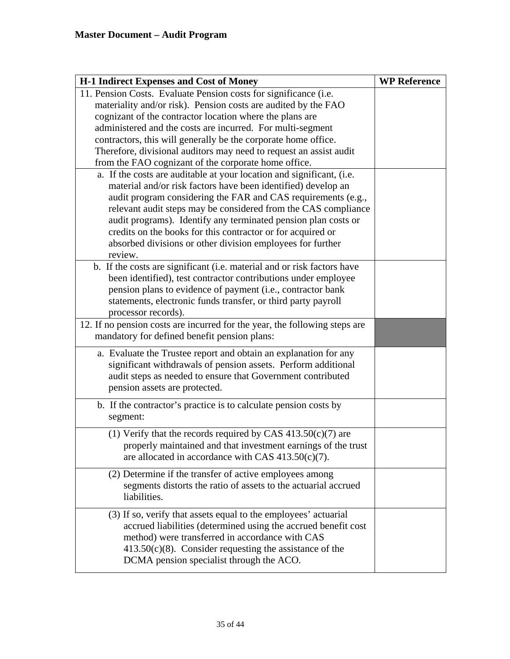| <b>H-1 Indirect Expenses and Cost of Money</b>                             | <b>WP Reference</b> |
|----------------------------------------------------------------------------|---------------------|
| 11. Pension Costs. Evaluate Pension costs for significance (i.e.           |                     |
| materiality and/or risk). Pension costs are audited by the FAO             |                     |
| cognizant of the contractor location where the plans are                   |                     |
| administered and the costs are incurred. For multi-segment                 |                     |
| contractors, this will generally be the corporate home office.             |                     |
| Therefore, divisional auditors may need to request an assist audit         |                     |
| from the FAO cognizant of the corporate home office.                       |                     |
| a. If the costs are auditable at your location and significant, (i.e.      |                     |
| material and/or risk factors have been identified) develop an              |                     |
| audit program considering the FAR and CAS requirements (e.g.,              |                     |
| relevant audit steps may be considered from the CAS compliance             |                     |
| audit programs). Identify any terminated pension plan costs or             |                     |
| credits on the books for this contractor or for acquired or                |                     |
| absorbed divisions or other division employees for further<br>review.      |                     |
| b. If the costs are significant (i.e. material and or risk factors have    |                     |
| been identified), test contractor contributions under employee             |                     |
| pension plans to evidence of payment (i.e., contractor bank                |                     |
| statements, electronic funds transfer, or third party payroll              |                     |
| processor records).                                                        |                     |
| 12. If no pension costs are incurred for the year, the following steps are |                     |
| mandatory for defined benefit pension plans:                               |                     |
| a. Evaluate the Trustee report and obtain an explanation for any           |                     |
| significant withdrawals of pension assets. Perform additional              |                     |
| audit steps as needed to ensure that Government contributed                |                     |
| pension assets are protected.                                              |                     |
|                                                                            |                     |
| b. If the contractor's practice is to calculate pension costs by           |                     |
| segment:                                                                   |                     |
| (1) Verify that the records required by CAS $413.50(c)(7)$ are             |                     |
| properly maintained and that investment earnings of the trust              |                     |
| are allocated in accordance with CAS $413.50(c)(7)$ .                      |                     |
| (2) Determine if the transfer of active employees among                    |                     |
| segments distorts the ratio of assets to the actuarial accrued             |                     |
| liabilities.                                                               |                     |
|                                                                            |                     |
| (3) If so, verify that assets equal to the employees' actuarial            |                     |
| accrued liabilities (determined using the accrued benefit cost             |                     |
| method) were transferred in accordance with CAS                            |                     |
| $413.50(c)(8)$ . Consider requesting the assistance of the                 |                     |
| DCMA pension specialist through the ACO.                                   |                     |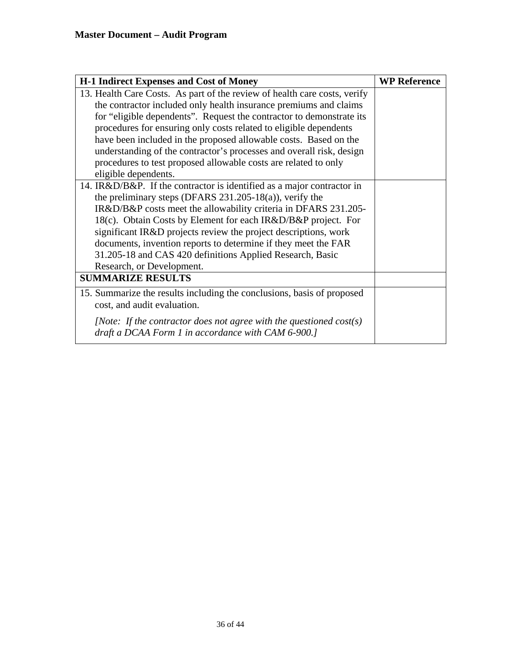| <b>H-1 Indirect Expenses and Cost of Money</b>                                                                                                                                                                                                                                                                                                                                                                                                                                                                                     | <b>WP Reference</b> |
|------------------------------------------------------------------------------------------------------------------------------------------------------------------------------------------------------------------------------------------------------------------------------------------------------------------------------------------------------------------------------------------------------------------------------------------------------------------------------------------------------------------------------------|---------------------|
| 13. Health Care Costs. As part of the review of health care costs, verify<br>the contractor included only health insurance premiums and claims<br>for "eligible dependents". Request the contractor to demonstrate its<br>procedures for ensuring only costs related to eligible dependents<br>have been included in the proposed allowable costs. Based on the<br>understanding of the contractor's processes and overall risk, design<br>procedures to test proposed allowable costs are related to only<br>eligible dependents. |                     |
| 14. IR&D/B&P. If the contractor is identified as a major contractor in<br>the preliminary steps (DFARS $231.205-18(a)$ ), verify the<br>IR&D/B&P costs meet the allowability criteria in DFARS 231.205-<br>18(c). Obtain Costs by Element for each IR&D/B&P project. For<br>significant IR&D projects review the project descriptions, work<br>documents, invention reports to determine if they meet the FAR<br>31.205-18 and CAS 420 definitions Applied Research, Basic<br>Research, or Development.                            |                     |
| <b>SUMMARIZE RESULTS</b>                                                                                                                                                                                                                                                                                                                                                                                                                                                                                                           |                     |
| 15. Summarize the results including the conclusions, basis of proposed<br>cost, and audit evaluation.                                                                                                                                                                                                                                                                                                                                                                                                                              |                     |
| [Note: If the contractor does not agree with the questioned $cost(s)$ ]<br>draft a DCAA Form 1 in accordance with CAM 6-900.]                                                                                                                                                                                                                                                                                                                                                                                                      |                     |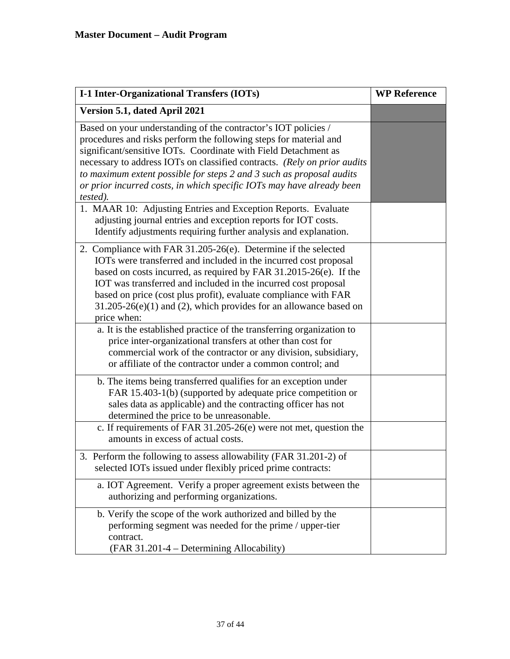| <b>I-1 Inter-Organizational Transfers (IOTs)</b>                                                                                                                                                                                                                                                                                                                                                                                                        | <b>WP Reference</b> |
|---------------------------------------------------------------------------------------------------------------------------------------------------------------------------------------------------------------------------------------------------------------------------------------------------------------------------------------------------------------------------------------------------------------------------------------------------------|---------------------|
| Version 5.1, dated April 2021                                                                                                                                                                                                                                                                                                                                                                                                                           |                     |
| Based on your understanding of the contractor's IOT policies /<br>procedures and risks perform the following steps for material and<br>significant/sensitive IOTs. Coordinate with Field Detachment as<br>necessary to address IOTs on classified contracts. (Rely on prior audits<br>to maximum extent possible for steps 2 and 3 such as proposal audits<br>or prior incurred costs, in which specific IOTs may have already been<br><i>tested</i> ). |                     |
| 1. MAAR 10: Adjusting Entries and Exception Reports. Evaluate<br>adjusting journal entries and exception reports for IOT costs.<br>Identify adjustments requiring further analysis and explanation.                                                                                                                                                                                                                                                     |                     |
| 2. Compliance with FAR 31.205-26(e). Determine if the selected<br>IOTs were transferred and included in the incurred cost proposal<br>based on costs incurred, as required by FAR 31.2015-26(e). If the<br>IOT was transferred and included in the incurred cost proposal<br>based on price (cost plus profit), evaluate compliance with FAR<br>$31.205-26(e)(1)$ and (2), which provides for an allowance based on<br>price when:                      |                     |
| a. It is the established practice of the transferring organization to<br>price inter-organizational transfers at other than cost for<br>commercial work of the contractor or any division, subsidiary,<br>or affiliate of the contractor under a common control; and                                                                                                                                                                                    |                     |
| b. The items being transferred qualifies for an exception under<br>FAR 15.403-1(b) (supported by adequate price competition or<br>sales data as applicable) and the contracting officer has not<br>determined the price to be unreasonable.                                                                                                                                                                                                             |                     |
| c. If requirements of FAR $31.205-26(e)$ were not met, question the<br>amounts in excess of actual costs.                                                                                                                                                                                                                                                                                                                                               |                     |
| Perform the following to assess allowability (FAR 31.201-2) of<br>selected IOTs issued under flexibly priced prime contracts:                                                                                                                                                                                                                                                                                                                           |                     |
| a. IOT Agreement. Verify a proper agreement exists between the<br>authorizing and performing organizations.                                                                                                                                                                                                                                                                                                                                             |                     |
| b. Verify the scope of the work authorized and billed by the<br>performing segment was needed for the prime / upper-tier<br>contract.<br>(FAR 31.201-4 – Determining Allocability)                                                                                                                                                                                                                                                                      |                     |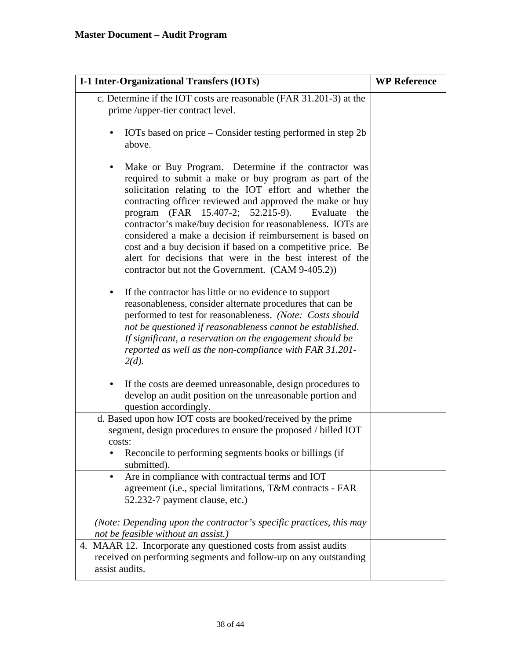| I-1 Inter-Organizational Transfers (IOTs)                                                                                                                                                                                                                                                                                                                                                                                                                                                                                                                                                                         | <b>WP Reference</b> |
|-------------------------------------------------------------------------------------------------------------------------------------------------------------------------------------------------------------------------------------------------------------------------------------------------------------------------------------------------------------------------------------------------------------------------------------------------------------------------------------------------------------------------------------------------------------------------------------------------------------------|---------------------|
| c. Determine if the IOT costs are reasonable (FAR 31.201-3) at the<br>prime /upper-tier contract level.                                                                                                                                                                                                                                                                                                                                                                                                                                                                                                           |                     |
| IOTs based on price – Consider testing performed in step 2b<br>above.                                                                                                                                                                                                                                                                                                                                                                                                                                                                                                                                             |                     |
| Make or Buy Program. Determine if the contractor was<br>٠<br>required to submit a make or buy program as part of the<br>solicitation relating to the IOT effort and whether the<br>contracting officer reviewed and approved the make or buy<br>program (FAR 15.407-2; 52.215-9).<br>Evaluate<br>the<br>contractor's make/buy decision for reasonableness. IOTs are<br>considered a make a decision if reimbursement is based on<br>cost and a buy decision if based on a competitive price. Be<br>alert for decisions that were in the best interest of the<br>contractor but not the Government. (CAM 9-405.2)) |                     |
| If the contractor has little or no evidence to support<br>$\bullet$<br>reasonableness, consider alternate procedures that can be<br>performed to test for reasonableness. (Note: Costs should<br>not be questioned if reasonableness cannot be established.<br>If significant, a reservation on the engagement should be<br>reported as well as the non-compliance with FAR 31.201-<br>$2(d)$ .                                                                                                                                                                                                                   |                     |
| If the costs are deemed unreasonable, design procedures to<br>$\bullet$<br>develop an audit position on the unreasonable portion and<br>question accordingly.                                                                                                                                                                                                                                                                                                                                                                                                                                                     |                     |
| d. Based upon how IOT costs are booked/received by the prime<br>segment, design procedures to ensure the proposed / billed IOT<br>costs:                                                                                                                                                                                                                                                                                                                                                                                                                                                                          |                     |
| Reconcile to performing segments books or billings (if<br>submitted).                                                                                                                                                                                                                                                                                                                                                                                                                                                                                                                                             |                     |
| Are in compliance with contractual terms and IOT<br>٠<br>agreement (i.e., special limitations, T&M contracts - FAR<br>52.232-7 payment clause, etc.)                                                                                                                                                                                                                                                                                                                                                                                                                                                              |                     |
| (Note: Depending upon the contractor's specific practices, this may<br>not be feasible without an assist.)                                                                                                                                                                                                                                                                                                                                                                                                                                                                                                        |                     |
| 4. MAAR 12. Incorporate any questioned costs from assist audits<br>received on performing segments and follow-up on any outstanding<br>assist audits.                                                                                                                                                                                                                                                                                                                                                                                                                                                             |                     |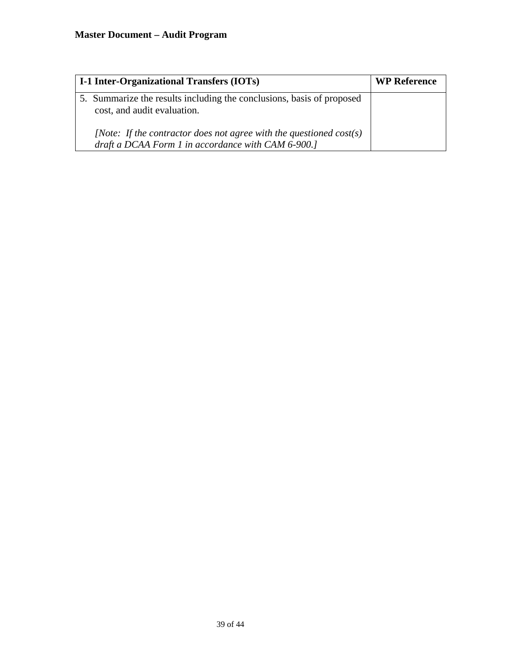| I-1 Inter-Organizational Transfers (IOTs)                                                                                     | <b>WP Reference</b> |
|-------------------------------------------------------------------------------------------------------------------------------|---------------------|
| 5. Summarize the results including the conclusions, basis of proposed<br>cost, and audit evaluation.                          |                     |
| [Note: If the contractor does not agree with the questioned $cost(s)$ ]<br>draft a DCAA Form 1 in accordance with CAM 6-900.] |                     |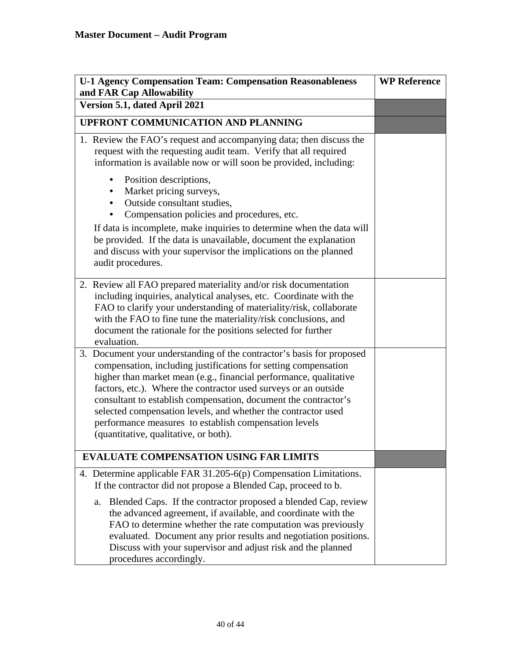| <b>U-1 Agency Compensation Team: Compensation Reasonableness</b><br>and FAR Cap Allowability                                                                                                                                                                                                                                                                                                                                                                                                                           | <b>WP Reference</b> |
|------------------------------------------------------------------------------------------------------------------------------------------------------------------------------------------------------------------------------------------------------------------------------------------------------------------------------------------------------------------------------------------------------------------------------------------------------------------------------------------------------------------------|---------------------|
| Version 5.1, dated April 2021                                                                                                                                                                                                                                                                                                                                                                                                                                                                                          |                     |
| <b>UPFRONT COMMUNICATION AND PLANNING</b>                                                                                                                                                                                                                                                                                                                                                                                                                                                                              |                     |
| 1. Review the FAO's request and accompanying data; then discuss the<br>request with the requesting audit team. Verify that all required<br>information is available now or will soon be provided, including:                                                                                                                                                                                                                                                                                                           |                     |
| Position descriptions,<br>$\bullet$<br>Market pricing surveys,<br>$\bullet$<br>• Outside consultant studies,<br>Compensation policies and procedures, etc.                                                                                                                                                                                                                                                                                                                                                             |                     |
| If data is incomplete, make inquiries to determine when the data will<br>be provided. If the data is unavailable, document the explanation<br>and discuss with your supervisor the implications on the planned<br>audit procedures.                                                                                                                                                                                                                                                                                    |                     |
| 2. Review all FAO prepared materiality and/or risk documentation<br>including inquiries, analytical analyses, etc. Coordinate with the<br>FAO to clarify your understanding of materiality/risk, collaborate<br>with the FAO to fine tune the materiality/risk conclusions, and<br>document the rationale for the positions selected for further<br>evaluation.                                                                                                                                                        |                     |
| 3. Document your understanding of the contractor's basis for proposed<br>compensation, including justifications for setting compensation<br>higher than market mean (e.g., financial performance, qualitative<br>factors, etc.). Where the contractor used surveys or an outside<br>consultant to establish compensation, document the contractor's<br>selected compensation levels, and whether the contractor used<br>performance measures to establish compensation levels<br>(quantitative, qualitative, or both). |                     |
| <b>EVALUATE COMPENSATION USING FAR LIMITS</b>                                                                                                                                                                                                                                                                                                                                                                                                                                                                          |                     |
| 4. Determine applicable FAR 31.205-6(p) Compensation Limitations.<br>If the contractor did not propose a Blended Cap, proceed to b.                                                                                                                                                                                                                                                                                                                                                                                    |                     |
| Blended Caps. If the contractor proposed a blended Cap, review<br>a.<br>the advanced agreement, if available, and coordinate with the<br>FAO to determine whether the rate computation was previously<br>evaluated. Document any prior results and negotiation positions.<br>Discuss with your supervisor and adjust risk and the planned<br>procedures accordingly.                                                                                                                                                   |                     |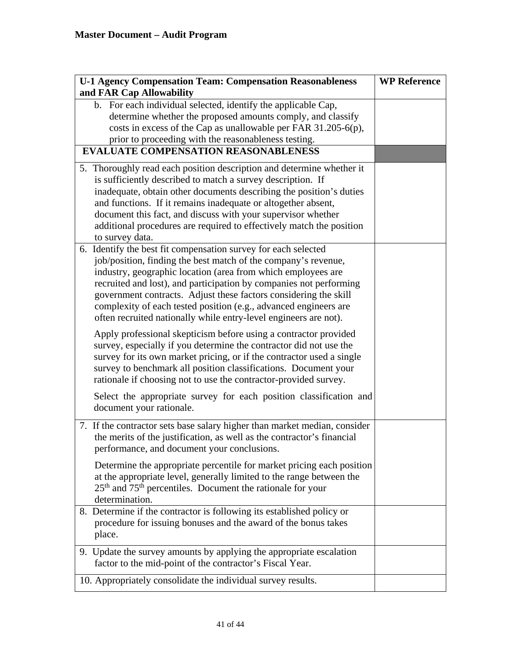| <b>U-1 Agency Compensation Team: Compensation Reasonableness</b>                   | <b>WP Reference</b> |
|------------------------------------------------------------------------------------|---------------------|
| and FAR Cap Allowability                                                           |                     |
| b. For each individual selected, identify the applicable Cap,                      |                     |
| determine whether the proposed amounts comply, and classify                        |                     |
| costs in excess of the Cap as unallowable per FAR 31.205-6(p),                     |                     |
| prior to proceeding with the reasonableness testing.                               |                     |
| <b>EVALUATE COMPENSATION REASONABLENESS</b>                                        |                     |
| 5. Thoroughly read each position description and determine whether it              |                     |
| is sufficiently described to match a survey description. If                        |                     |
| inadequate, obtain other documents describing the position's duties                |                     |
| and functions. If it remains inadequate or altogether absent,                      |                     |
| document this fact, and discuss with your supervisor whether                       |                     |
| additional procedures are required to effectively match the position               |                     |
| to survey data.                                                                    |                     |
| 6. Identify the best fit compensation survey for each selected                     |                     |
| job/position, finding the best match of the company's revenue,                     |                     |
| industry, geographic location (area from which employees are                       |                     |
| recruited and lost), and participation by companies not performing                 |                     |
| government contracts. Adjust these factors considering the skill                   |                     |
| complexity of each tested position (e.g., advanced engineers are                   |                     |
| often recruited nationally while entry-level engineers are not).                   |                     |
| Apply professional skepticism before using a contractor provided                   |                     |
| survey, especially if you determine the contractor did not use the                 |                     |
| survey for its own market pricing, or if the contractor used a single              |                     |
| survey to benchmark all position classifications. Document your                    |                     |
| rationale if choosing not to use the contractor-provided survey.                   |                     |
| Select the appropriate survey for each position classification and                 |                     |
| document your rationale.                                                           |                     |
| 7. If the contractor sets base salary higher than market median, consider          |                     |
| the merits of the justification, as well as the contractor's financial             |                     |
| performance, and document your conclusions.                                        |                     |
|                                                                                    |                     |
| Determine the appropriate percentile for market pricing each position              |                     |
| at the appropriate level, generally limited to the range between the               |                     |
| 25 <sup>th</sup> and 75 <sup>th</sup> percentiles. Document the rationale for your |                     |
| determination.                                                                     |                     |
| 8. Determine if the contractor is following its established policy or              |                     |
| procedure for issuing bonuses and the award of the bonus takes                     |                     |
| place.                                                                             |                     |
| 9. Update the survey amounts by applying the appropriate escalation                |                     |
| factor to the mid-point of the contractor's Fiscal Year.                           |                     |
|                                                                                    |                     |
| 10. Appropriately consolidate the individual survey results.                       |                     |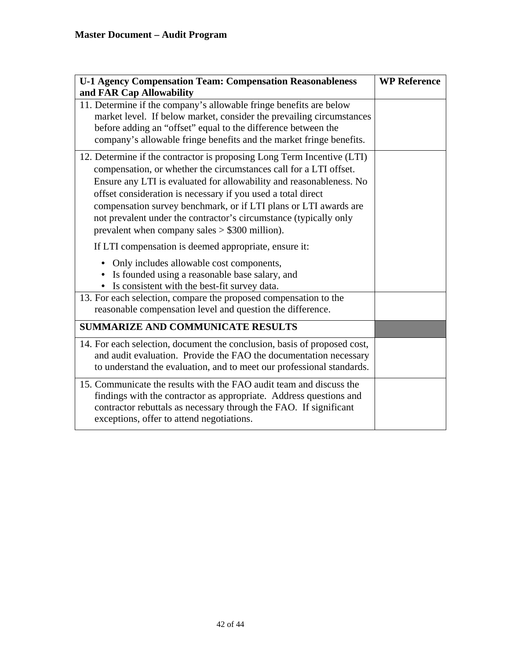| <b>U-1 Agency Compensation Team: Compensation Reasonableness</b>                                                                                                                                                                                                                                                                                                                                                                                                               | <b>WP Reference</b> |
|--------------------------------------------------------------------------------------------------------------------------------------------------------------------------------------------------------------------------------------------------------------------------------------------------------------------------------------------------------------------------------------------------------------------------------------------------------------------------------|---------------------|
| and FAR Cap Allowability                                                                                                                                                                                                                                                                                                                                                                                                                                                       |                     |
| 11. Determine if the company's allowable fringe benefits are below<br>market level. If below market, consider the prevailing circumstances<br>before adding an "offset" equal to the difference between the<br>company's allowable fringe benefits and the market fringe benefits.                                                                                                                                                                                             |                     |
| 12. Determine if the contractor is proposing Long Term Incentive (LTI)<br>compensation, or whether the circumstances call for a LTI offset.<br>Ensure any LTI is evaluated for allowability and reasonableness. No<br>offset consideration is necessary if you used a total direct<br>compensation survey benchmark, or if LTI plans or LTI awards are<br>not prevalent under the contractor's circumstance (typically only<br>prevalent when company sales $> $300$ million). |                     |
| If LTI compensation is deemed appropriate, ensure it:                                                                                                                                                                                                                                                                                                                                                                                                                          |                     |
| • Only includes allowable cost components,<br>Is founded using a reasonable base salary, and<br>Is consistent with the best-fit survey data.                                                                                                                                                                                                                                                                                                                                   |                     |
| 13. For each selection, compare the proposed compensation to the<br>reasonable compensation level and question the difference.                                                                                                                                                                                                                                                                                                                                                 |                     |
| <b>SUMMARIZE AND COMMUNICATE RESULTS</b>                                                                                                                                                                                                                                                                                                                                                                                                                                       |                     |
| 14. For each selection, document the conclusion, basis of proposed cost,<br>and audit evaluation. Provide the FAO the documentation necessary<br>to understand the evaluation, and to meet our professional standards.                                                                                                                                                                                                                                                         |                     |
| 15. Communicate the results with the FAO audit team and discuss the<br>findings with the contractor as appropriate. Address questions and<br>contractor rebuttals as necessary through the FAO. If significant<br>exceptions, offer to attend negotiations.                                                                                                                                                                                                                    |                     |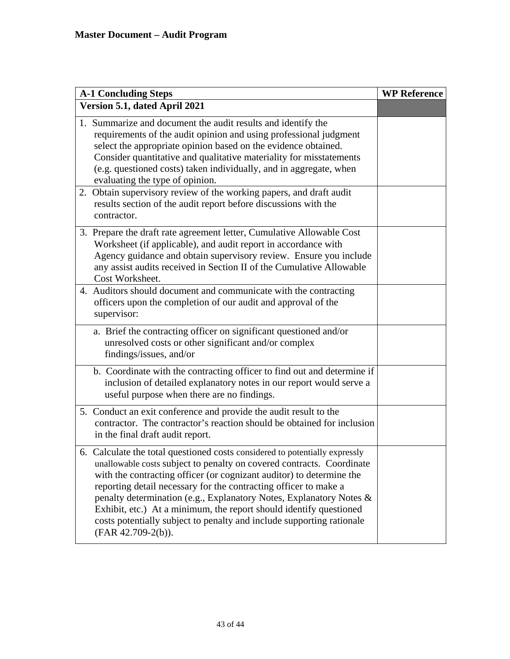| <b>A-1 Concluding Steps</b>                    |                                                                                                                                                                                                                                                                                                                                                                                                                                                                                                                        | <b>WP Reference</b> |
|------------------------------------------------|------------------------------------------------------------------------------------------------------------------------------------------------------------------------------------------------------------------------------------------------------------------------------------------------------------------------------------------------------------------------------------------------------------------------------------------------------------------------------------------------------------------------|---------------------|
| Version 5.1, dated April 2021                  |                                                                                                                                                                                                                                                                                                                                                                                                                                                                                                                        |                     |
| evaluating the type of opinion.<br>contractor. | 1. Summarize and document the audit results and identify the<br>requirements of the audit opinion and using professional judgment<br>select the appropriate opinion based on the evidence obtained.<br>Consider quantitative and qualitative materiality for misstatements<br>(e.g. questioned costs) taken individually, and in aggregate, when<br>2. Obtain supervisory review of the working papers, and draft audit<br>results section of the audit report before discussions with the                             |                     |
| Cost Worksheet.                                | 3. Prepare the draft rate agreement letter, Cumulative Allowable Cost<br>Worksheet (if applicable), and audit report in accordance with<br>Agency guidance and obtain supervisory review. Ensure you include<br>any assist audits received in Section II of the Cumulative Allowable                                                                                                                                                                                                                                   |                     |
| supervisor:                                    | 4. Auditors should document and communicate with the contracting<br>officers upon the completion of our audit and approval of the                                                                                                                                                                                                                                                                                                                                                                                      |                     |
| findings/issues, and/or                        | a. Brief the contracting officer on significant questioned and/or<br>unresolved costs or other significant and/or complex                                                                                                                                                                                                                                                                                                                                                                                              |                     |
|                                                | b. Coordinate with the contracting officer to find out and determine if<br>inclusion of detailed explanatory notes in our report would serve a<br>useful purpose when there are no findings.                                                                                                                                                                                                                                                                                                                           |                     |
| in the final draft audit report.               | 5. Conduct an exit conference and provide the audit result to the<br>contractor. The contractor's reaction should be obtained for inclusion                                                                                                                                                                                                                                                                                                                                                                            |                     |
| (FAR 42.709-2(b)).                             | 6. Calculate the total questioned costs considered to potentially expressly<br>unallowable costs subject to penalty on covered contracts. Coordinate<br>with the contracting officer (or cognizant auditor) to determine the<br>reporting detail necessary for the contracting officer to make a<br>penalty determination (e.g., Explanatory Notes, Explanatory Notes &<br>Exhibit, etc.) At a minimum, the report should identify questioned<br>costs potentially subject to penalty and include supporting rationale |                     |